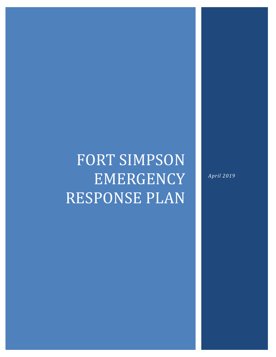# FORT SIMPSON EMERGENCY RESPONSE PLAN

*April 2019*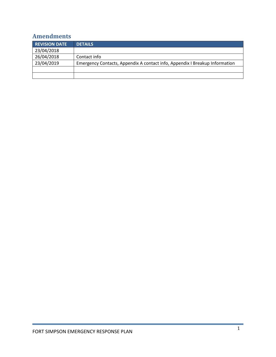# <span id="page-1-0"></span>**Amendments**

| <b>REVISION DATE</b> | <b>DETAILS</b>                                                              |
|----------------------|-----------------------------------------------------------------------------|
| 23/04/2018           |                                                                             |
| 26/04/2018           | Contact info                                                                |
| 23/04/2019           | Emergency Contacts, Appendix A contact info, Appendix I Breakup Information |
|                      |                                                                             |
|                      |                                                                             |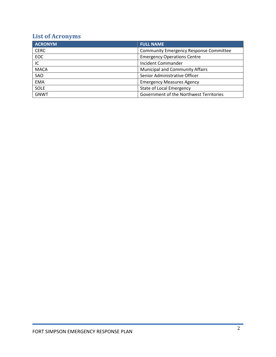# <span id="page-2-0"></span>**List of Acronyms**

| <b>ACRONYM</b> | <b>FULL NAME</b>                              |  |
|----------------|-----------------------------------------------|--|
| <b>CERC</b>    | <b>Community Emergency Response Committee</b> |  |
| <b>EOC</b>     | <b>Emergency Operations Centre</b>            |  |
| IC             | <b>Incident Commander</b>                     |  |
| <b>MACA</b>    | <b>Municipal and Community Affairs</b>        |  |
| SAO            | Senior Administrative Officer                 |  |
| <b>EMA</b>     | <b>Emergency Measures Agency</b>              |  |
| <b>SOLE</b>    | <b>State of Local Emergency</b>               |  |
| <b>GNWT</b>    | Government of the Northwest Territories       |  |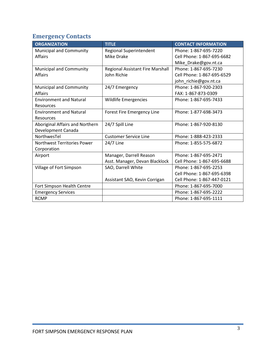# <span id="page-3-0"></span>**Emergency Contacts**

| <b>ORGANIZATION</b>             | <b>TITLE</b>                     | <b>CONTACT INFORMATION</b> |
|---------------------------------|----------------------------------|----------------------------|
| Municipal and Community         | <b>Regional Superintendent</b>   | Phone: 1-867-695-7220      |
| <b>Affairs</b>                  | <b>Mike Drake</b>                | Cell Phone: 1-867-695-6682 |
|                                 |                                  | Mike_Drake@gov.nt.ca       |
| Municipal and Community         | Regional Assistant Fire Marshall | Phone: 1-867-695-7230      |
| <b>Affairs</b>                  | John Richie                      | Cell Phone: 1-867-695-6529 |
|                                 |                                  | john_richie@gov.nt.ca      |
| Municipal and Community         | 24/7 Emergency                   | Phone: 1-867-920-2303      |
| <b>Affairs</b>                  |                                  | FAX: 1-867-873-0309        |
| <b>Environment and Natural</b>  | Wildlife Emergencies             | Phone: 1-867-695-7433      |
| Resources                       |                                  |                            |
| <b>Environment and Natural</b>  | Forest Fire Emergency Line       | Phone: 1-877-698-3473      |
| Resources                       |                                  |                            |
| Aboriginal Affairs and Northern | 24/7 Spill Line                  | Phone: 1-867-920-8130      |
| Development Canada              |                                  |                            |
| NorthwesTel                     | <b>Customer Service Line</b>     | Phone: 1-888-423-2333      |
| Northwest Territories Power     | 24/7 Line                        | Phone: 1-855-575-6872      |
| Corporation                     |                                  |                            |
| Airport                         | Manager, Darrell Reason          | Phone: 1-867-695-2471      |
|                                 | Asst. Manager, Devan Blacklock   | Cell Phone: 1-867-695-6688 |
| Village of Fort Simpson         | SAO, Darrell White               | Phone: 1-867-695-2253      |
|                                 |                                  | Cell Phone: 1-867-695-6398 |
|                                 | Assistant SAO, Kevin Corrigan    | Cell Phone: 1-867-447-0121 |
| Fort Simpson Health Centre      |                                  | Phone: 1-867-695-7000      |
| <b>Emergency Services</b>       |                                  | Phone: 1-867-695-2222      |
| <b>RCMP</b>                     |                                  | Phone: 1-867-695-1111      |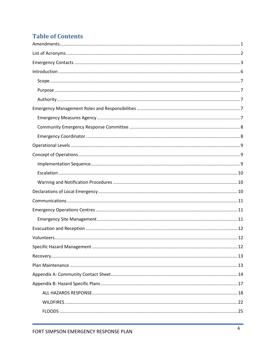# **Table of Contents**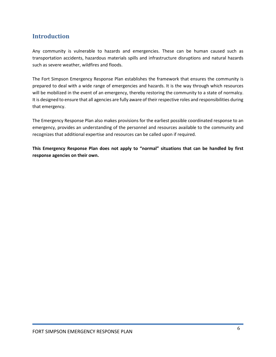# <span id="page-6-0"></span>**Introduction**

Any community is vulnerable to hazards and emergencies. These can be human caused such as transportation accidents, hazardous materials spills and infrastructure disruptions and natural hazards such as severe weather, wildfires and floods.

The Fort Simpson Emergency Response Plan establishes the framework that ensures the community is prepared to deal with a wide range of emergencies and hazards. It is the way through which resources will be mobilized in the event of an emergency, thereby restoring the community to a state of normalcy. It is designed to ensure that all agencies are fully aware of their respective roles and responsibilities during that emergency.

The Emergency Response Plan also makes provisions for the earliest possible coordinated response to an emergency, provides an understanding of the personnel and resources available to the community and recognizes that additional expertise and resources can be called upon if required.

**This Emergency Response Plan does not apply to "normal" situations that can be handled by first response agencies on their own.**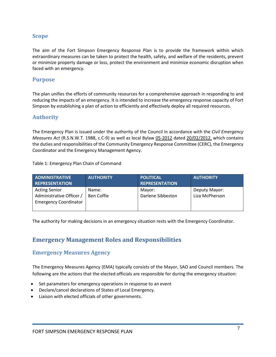#### <span id="page-7-0"></span>**Scope**

The aim of the Fort Simpson Emergency Response Plan is to provide the framework within which extraordinary measures can be taken to protect the health, safety, and welfare of the residents, prevent or minimize property damage or loss, protect the environment and minimize economic disruption when faced with an emergency.

#### <span id="page-7-1"></span>**Purpose**

The plan unifies the efforts of community resources for a comprehensive approach in responding to and reducing the impacts of an emergency. It is intended to increase the emergency response capacity of Fort Simpson by establishing a plan of action to efficiently and effectively deploy all required resources.

#### <span id="page-7-2"></span>**Authority**

The Emergency Plan is issued under the authority of the Council in accordance with the *Civil Emergency Measures Act* (R.S.N.W.T. 1988, c.C-9) as well as local Bylaw 05-2012 dated 20/02/2012, which contains the duties and responsibilities of the Community Emergency Response Committee (CERC), the Emergency Coordinator and the Emergency Management Agency.

Table 1: Emergency Plan Chain of Command

| <b>ADMINISTRATIVE</b>                                                            | <b>AUTHORITY</b>    | <b>POLITICAL</b>            | <b>AUTHORITY</b>                |
|----------------------------------------------------------------------------------|---------------------|-----------------------------|---------------------------------|
| <b>REPRESENTATION</b>                                                            |                     | <b>REPRESENTATION</b>       |                                 |
| <b>Acting Senior</b><br>Administrative Officer /<br><b>Emergency Coordinator</b> | Name:<br>Ben Coffie | Mayor:<br>Darlene Sibbeston | Deputy Mayor:<br>Liza McPherson |

<span id="page-7-3"></span>The authority for making decisions in an emergency situation rests with the Emergency Coordinator.

# **Emergency Management Roles and Responsibilities**

#### <span id="page-7-4"></span>**Emergency Measures Agency**

The Emergency Measures Agency (EMA) typically consists of the Mayor, SAO and Council members. The following are the actions that the elected officials are responsible for during the emergency situation:

- Set parameters for emergency operations in response to an event
- Declare/cancel declarations of States of Local Emergency.
- Liaison with elected officials of other governments.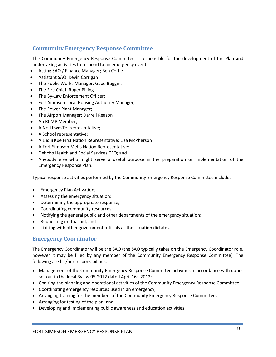# <span id="page-8-0"></span>**Community Emergency Response Committee**

The Community Emergency Response Committee is responsible for the development of the Plan and undertaking activities to respond to an emergency event:

- Acting SAO / Finance Manager; Ben Coffie
- Assistant SAO; Kevin Corrigan
- The Public Works Manager; Gabe Buggins
- The Fire Chief; Roger Pilling
- The By-Law Enforcement Officer;
- Fort Simpson Local Housing Authority Manager;
- The Power Plant Manager;
- The Airport Manager; Darrell Reason
- An RCMP Member;
- A NorthwesTel representative;
- A School representative;
- A Liidlii Kue First Nation Representative: Liza McPherson
- A Fort Simpson Metis Nation Representative:
- Dehcho Health and Social Services CEO; and
- Anybody else who might serve a useful purpose in the preparation or implementation of the Emergency Response Plan.

Typical response activities performed by the Community Emergency Response Committee include:

- Emergency Plan Activation;
- Assessing the emergency situation;
- Determining the appropriate response;
- Coordinating community resources;
- Notifying the general public and other departments of the emergency situation;
- Requesting mutual aid; and
- Liaising with other government officials as the situation dictates.

#### <span id="page-8-1"></span>**Emergency Coordinator**

The Emergency Coordinator will be the SAO (the SAO typically takes on the Emergency Coordinator role, however it may be filled by any member of the Community Emergency Response Committee). The following are his/her responsibilities:

- Management of the Community Emergency Response Committee activities in accordance with duties set out in the local Bylaw 05-2012 dated April 16<sup>th</sup> 2012;
- Chairing the planning and operational activities of the Community Emergency Response Committee;
- Coordinating emergency resources used in an emergency;
- Arranging training for the members of the Community Emergency Response Committee;
- Arranging for testing of the plan; and
- Developing and implementing public awareness and education activities.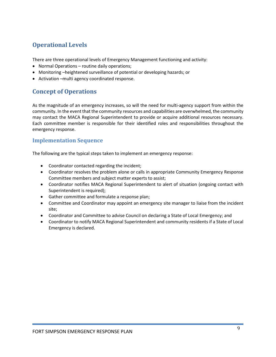# <span id="page-9-0"></span>**Operational Levels**

There are three operational levels of Emergency Management functioning and activity:

- Normal Operations routine daily operations;
- Monitoring –heightened surveillance of potential or developing hazards; or
- Activation –multi agency coordinated response.

# <span id="page-9-1"></span>**Concept of Operations**

As the magnitude of an emergency increases, so will the need for multi-agency support from within the community. In the event that the community resources and capabilities are overwhelmed, the community may contact the MACA Regional Superintendent to provide or acquire additional resources necessary. Each committee member is responsible for their identified roles and responsibilities throughout the emergency response.

## <span id="page-9-2"></span>**Implementation Sequence**

The following are the typical steps taken to implement an emergency response:

- Coordinator contacted regarding the incident;
- Coordinator resolves the problem alone or calls in appropriate Community Emergency Response Committee members and subject matter experts to assist;
- Coordinator notifies MACA Regional Superintendent to alert of situation (ongoing contact with Superintendent is required);
- Gather committee and formulate a response plan;
- Committee and Coordinator may appoint an emergency site manager to liaise from the incident site;
- Coordinator and Committee to advise Council on declaring a State of Local Emergency; and
- Coordinator to notify MACA Regional Superintendent and community residents if a State of Local Emergency is declared.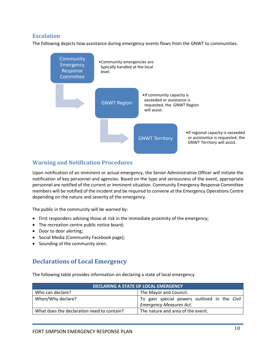## <span id="page-10-0"></span>**Escalation**

The following depicts how assistance during emergency events flows from the GNWT to communities.



## <span id="page-10-1"></span>**Warning and Notification Procedures**

Upon notification of an imminent or actual emergency, the Senior Administrative Officer will initiate the notification of key personnel and agencies. Based on the type and seriousness of the event, appropriate personnel are notified of the current or imminent situation. Community Emergency Response Committee members will be notified of the incident and be required to convene at the Emergency Operations Centre depending on the nature and severity of the emergency.

The public in the community will be warned by:

- First responders advising those at risk in the immediate proximity of the emergency;
- The recreation centre public notice board;
- Door to door alerting;
- Social Media (Community Facebook page);
- <span id="page-10-2"></span>• Sounding of the community siren.

## **Declarations of Local Emergency**

The following table provides information on declaring a state of local emergency.

| <b>DECLARING A STATE OF LOCAL EMERGENCY</b>                                     |  |  |  |  |
|---------------------------------------------------------------------------------|--|--|--|--|
| Who can declare?<br>The Mayor and Council.                                      |  |  |  |  |
| When/Why declare?<br>  To gain special powers outlined in the Civil             |  |  |  |  |
| <b>Emergency Measures Act.</b>                                                  |  |  |  |  |
| The nature and area of the event.<br>What does the declaration need to contain? |  |  |  |  |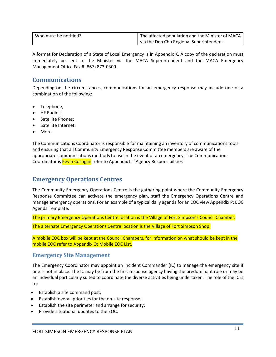| Who must be notified? | The affected population and the Minister of MACA |
|-----------------------|--------------------------------------------------|
|                       | I via the Deh Cho Regional Superintendent.       |

A format for Declaration of a State of Local Emergency is in Appendix K. A copy of the declaration must immediately be sent to the Minister via the MACA Superintendent and the MACA Emergency Management Office Fax # (867) 873-0309.

# <span id="page-11-0"></span>**Communications**

Depending on the circumstances, communications for an emergency response may include one or a combination of the following:

- Telephone;
- HF Radios;
- Satellite Phones;
- Satellite Internet;
- More.

The Communications Coordinator is responsible for maintaining an inventory of communications tools and ensuring that all Community Emergency Response Committee members are aware of the appropriate communications methods to use in the event of an emergency. The Communications Coordinator is **Kevin Corrigan** refer to Appendix L: "Agency Responsibilities"

# <span id="page-11-1"></span>**Emergency Operations Centres**

The Community Emergency Operations Centre is the gathering point where the Community Emergency Response Committee can activate the emergency plan, staff the Emergency Operations Centre and manage emergency operations. For an example of a typical daily agenda for an EOC view Appendix P: EOC Agenda Template.

The primary Emergency Operations Centre location is the Village of Fort Simpson's Council Chamber.

The alternate Emergency Operations Centre location is the Village of Fort Simpson Shop.

A mobile EOC box will be kept at the Council Chambers, for information on what should be kept in the mobile EOC refer to Appendix O: Mobile EOC List.

#### <span id="page-11-2"></span>**Emergency Site Management**

The Emergency Coordinator may appoint an Incident Commander (IC) to manage the emergency site if one is not in place. The IC may be from the first response agency having the predominant role or may be an individual particularly suited to coordinate the diverse activities being undertaken. The role of the IC is to:

- Establish a site command post;
- Establish overall priorities for the on-site response;
- Establish the site perimeter and arrange for security;
- Provide situational updates to the EOC;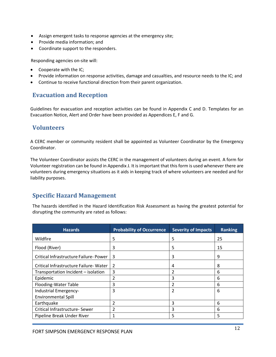- Assign emergent tasks to response agencies at the emergency site;
- Provide media information; and
- Coordinate support to the responders.

Responding agencies on-site will:

- Cooperate with the IC;
- Provide information on response activities, damage and casualties, and resource needs to the IC; and
- Continue to receive functional direction from their parent organization.

# <span id="page-12-0"></span>**Evacuation and Reception**

Guidelines for evacuation and reception activities can be found in Appendix C and D. Templates for an Evacuation Notice, Alert and Order have been provided as Appendices E, F and G.

## <span id="page-12-1"></span>**Volunteers**

A CERC member or community resident shall be appointed as Volunteer Coordinator by the Emergency Coordinator.

The Volunteer Coordinator assists the CERC in the management of volunteers during an event. A form for Volunteer registration can be found in Appendix J. It is important that this form is used whenever there are volunteers during emergency situations as it aids in keeping track of where volunteers are needed and for liability purposes.

# <span id="page-12-2"></span>**Specific Hazard Management**

The hazards identified in the Hazard Identification Risk Assessment as having the greatest potential for disrupting the community are rated as follows:

| <b>Hazards</b>                        | <b>Probability of Occurrence</b> | <b>Severity of Impacts</b> | <b>Ranking</b> |
|---------------------------------------|----------------------------------|----------------------------|----------------|
| Wildfire                              | 5                                | 5                          | 25             |
| Flood (River)                         | 3                                | 5                          | 15             |
| Critical Infrastructure Failure-Power | 3                                | 3                          | 9              |
| Critical Infrastructure Failure-Water | 2                                | 4                          | 8              |
| Transportation Incident - isolation   | 3                                |                            | 6              |
| Epidemic                              | $\overline{2}$                   | 3                          | 6              |
| Flooding-Water Table                  | 3                                | 2                          | 6              |
| Industrial Emergency-                 | 3                                | 2                          | 6              |
| <b>Environmental Spill</b>            |                                  |                            |                |
| Earthquake                            | 2                                | 3                          | 6              |
| Critical Infrastructure- Sewer        | $\overline{2}$                   | 3                          | 6              |
| Pipeline Break Under River            |                                  | 5                          | 5              |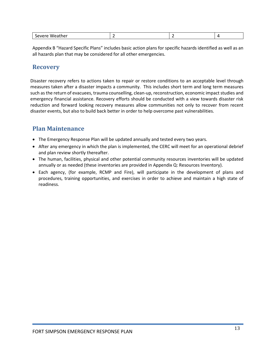| . |  |  |  |
|---|--|--|--|
|---|--|--|--|

Appendix B "Hazard Specific Plans" includes basic action plans for specific hazards identified as well as an all hazards plan that may be considered for all other emergencies.

## <span id="page-13-0"></span>**Recovery**

Disaster recovery refers to actions taken to repair or restore conditions to an acceptable level through measures taken after a disaster impacts a community. This includes short term and long term measures such as the return of evacuees, trauma counselling, clean-up, reconstruction, economic impact studies and emergency financial assistance. Recovery efforts should be conducted with a view towards disaster risk reduction and forward looking recovery measures allow communities not only to recover from recent disaster events, but also to build back better in order to help overcome past vulnerabilities.

## <span id="page-13-1"></span>**Plan Maintenance**

- The Emergency Response Plan will be updated annually and tested every two years.
- After any emergency in which the plan is implemented, the CERC will meet for an operational debrief and plan review shortly thereafter.
- The human, facilities, physical and other potential community resources inventories will be updated annually or as needed (these inventories are provided in Appendix Q: Resources Inventory).
- Each agency, (for example, RCMP and Fire), will participate in the development of plans and procedures, training opportunities, and exercises in order to achieve and maintain a high state of readiness.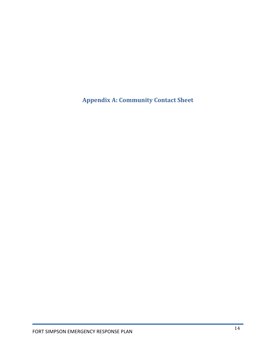<span id="page-14-0"></span>**Appendix A: Community Contact Sheet**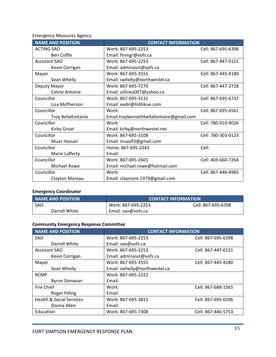Emergency Measures Agency

| <b>NAME AND POSITION</b>  | <b>CONTACT INFORMATION</b>               |                    |
|---------------------------|------------------------------------------|--------------------|
| <b>ACTING SAO</b>         | Work: 867-695-2253                       | Cell: 867-695-6398 |
| <b>Ben Coffie</b>         | Email: finmgr@vofs.ca                    |                    |
| <b>Assistant SAO</b>      | Work: 867-695-2253                       | Cell: 867-447-0121 |
| Kevin Corrigan            | Email: adminasst@vofs.ca                 |                    |
| Mayor                     | Work: 867-695-3555                       | Cell: 867-445-4180 |
| Sean Whelly               | Email: swhelly@northwestel.ca            |                    |
| Deputy Mayor              | Work: 867-695-7270                       | Cell: 867-447-2728 |
| <b>Celine Antoine</b>     | Email: celinea007@yahoo.ca               |                    |
| Councillor                | Work: 867-695-3131                       | Cell: 867-695-6737 |
| Liza McPherson            | Email: exdir@liidliikue.com              |                    |
| Councillor                | Work:                                    | Cell: 867-695-6561 |
| <b>Troy Bellafontaine</b> | Email:troykennethbellafontaine@gmail.com |                    |
| Councillor                | Work:                                    | Cell: 780-910-9026 |
| <b>Kirby Groat</b>        | Email: kirby@northwestel.net             |                    |
| Councillor                | Work: 867-695-3108                       | Cell: 780-303-0123 |
| Muaz Hassan               | Email: muaz93@gmail.com                  |                    |
| Councillor                | Home: 867-695-2343                       | Cell:              |
| Marie Lafferty            | Email:                                   |                    |
| Councillor                | Work: 867-695-2601                       | Cell: 403-660-7264 |
| <b>Michael Rowe</b>       | Email: michael.rowe@hotmail.com          |                    |
| Councillor                | Work:                                    | Cell: 867-446-4985 |
| Clayton Moreau            | Email: claymore.1979@gmail.com           |                    |

# **Emergency Coordinator**

| NAME AND POSITION | <b>CONTACT INFORMATION</b> |                    |  |
|-------------------|----------------------------|--------------------|--|
| SAO               | Work: 867-695-2253         | Cell: 867-695-6398 |  |
| Darrell White     | Email: sao@vofs.ca         |                    |  |

# **Community Emergency Response Committee**

| NAME AND POSITION                   | <b>CONTACT INFORMATION</b>    |                    |
|-------------------------------------|-------------------------------|--------------------|
| <b>SAO</b>                          | Work: 867-695-2253            | Cell: 867-695-6398 |
| Darrell White                       | Email: sao@vofs.ca            |                    |
| <b>Assistant SAO</b>                | Work: 867-695-2253            | Cell: 867-447-0121 |
| Kevin Corrigan                      | Email: adminasst@vofs.ca      |                    |
| Mayor                               | Work: 867-695-3555            | Cell: 867-445-4180 |
| Sean Whelly                         | Email: swhelly@northwestel.ca |                    |
| <b>RCMP</b>                         | Work: 867-695-2222            |                    |
| <b>Byron Donovan</b>                | Email:                        |                    |
| Fire Chief                          | Work:                         | Cell: 867-688-1565 |
| <b>Roger Pilling</b>                | Email:                        |                    |
| <b>Health &amp; Social Services</b> | Work: 867-695-3815            | Cell: 867-695-6596 |
| Donna Allen                         | Email:                        |                    |
| Education                           | Work: 867-695-7308            | Cell: 867-446-5753 |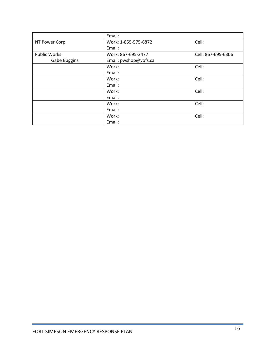|                     | Email:                |                    |
|---------------------|-----------------------|--------------------|
| NT Power Corp       | Work: 1-855-575-6872  | Cell:              |
|                     | Email:                |                    |
| <b>Public Works</b> | Work: 867-695-2477    | Cell: 867-695-6306 |
| <b>Gabe Buggins</b> | Email: pwshop@vofs.ca |                    |
|                     | Work:                 | Cell:              |
|                     | Email:                |                    |
|                     | Work:                 | Cell:              |
|                     | Email:                |                    |
|                     | Work:                 | Cell:              |
|                     | Email:                |                    |
|                     | Work:                 | Cell:              |
|                     | Email:                |                    |
|                     | Work:                 | Cell:              |
|                     | Email:                |                    |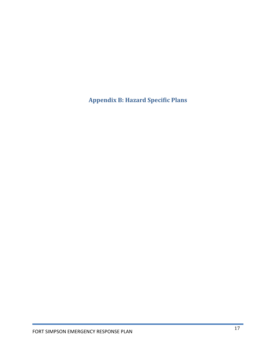<span id="page-17-0"></span>**Appendix B: Hazard Specific Plans**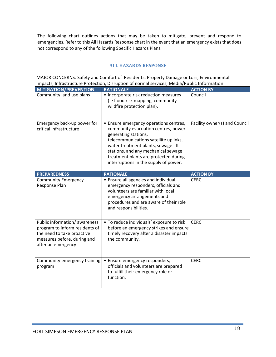The following chart outlines actions that may be taken to mitigate, prevent and respond to emergencies. Refer to this All Hazards Response chart in the event that an emergency exists that does not correspond to any of the following Specific Hazards Plans.

#### <span id="page-18-0"></span>**ALL HAZARDS RESPONSE**

MAJOR CONCERNS: Safety and Comfort of Residents, Property Damage or Loss, Environmental Impacts, Infrastructure Protection, Disruption of normal services, Media/Public Information.

| <b>MITIGATION/PREVENTION</b>                                                                                                                      | <b>RATIONALE</b>                                                                                                                                                                                                                                                                                               | <b>ACTION BY</b>              |
|---------------------------------------------------------------------------------------------------------------------------------------------------|----------------------------------------------------------------------------------------------------------------------------------------------------------------------------------------------------------------------------------------------------------------------------------------------------------------|-------------------------------|
| Community land use plans                                                                                                                          | • Incorporate risk reduction measures<br>(ie flood risk mapping, community<br>wildfire protection plan).                                                                                                                                                                                                       | Council                       |
| Emergency back-up power for<br>critical infrastructure                                                                                            | • Ensure emergency operations centres,<br>community evacuation centres, power<br>generating stations,<br>telecommunications satellite uplinks,<br>water treatment plants, sewage lift<br>stations, and any mechanical sewage<br>treatment plants are protected during<br>interruptions in the supply of power. | Facility owner(s) and Council |
| <b>PREPAREDNESS</b>                                                                                                                               | <b>RATIONALE</b>                                                                                                                                                                                                                                                                                               | <b>ACTION BY</b>              |
| <b>Community Emergency</b><br>Response Plan                                                                                                       | • Ensure all agencies and individual<br>emergency responders, officials and<br>volunteers are familiar with local<br>emergency arrangements and<br>procedures and are aware of their role<br>and responsibilities.                                                                                             | <b>CERC</b>                   |
| Public information/awareness<br>program to inform residents of<br>the need to take proactive<br>measures before, during and<br>after an emergency | • To reduce individuals' exposure to risk<br>before an emergency strikes and ensure<br>timely recovery after a disaster impacts<br>the community.                                                                                                                                                              | <b>CERC</b>                   |
| Community emergency training<br>program                                                                                                           | • Ensure emergency responders,<br>officials and volunteers are prepared<br>to fulfill their emergency role or<br>function.                                                                                                                                                                                     | <b>CERC</b>                   |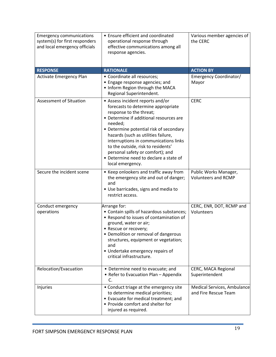| <b>Emergency communications</b><br>system(s) for first responders<br>and local emergency officials | • Ensure efficient and coordinated<br>operational response through<br>effective communications among all<br>response agencies.                                                                                                                                                                                                                                                                                             | Various member agencies of<br>the CERC              |
|----------------------------------------------------------------------------------------------------|----------------------------------------------------------------------------------------------------------------------------------------------------------------------------------------------------------------------------------------------------------------------------------------------------------------------------------------------------------------------------------------------------------------------------|-----------------------------------------------------|
| <b>RESPONSE</b>                                                                                    | <b>RATIONALE</b>                                                                                                                                                                                                                                                                                                                                                                                                           | <b>ACTION BY</b>                                    |
| Activate Emergency Plan                                                                            | • Coordinate all resources;<br>• Engage response agencies; and<br>• Inform Region through the MACA<br>Regional Superintendent.                                                                                                                                                                                                                                                                                             | Emergency Coordinator/<br>Mayor                     |
| <b>Assessment of Situation</b>                                                                     | • Assess incident reports and/or<br>forecasts to determine appropriate<br>response to the threat;<br>• Determine if additional resources are<br>needed;<br>• Determine potential risk of secondary<br>hazards (such as utilities failure,<br>interruptions in communications links<br>to the outside, risk to residents'<br>personal safety or comfort); and<br>• Determine need to declare a state of<br>local emergency. | <b>CERC</b>                                         |
| Secure the incident scene                                                                          | • Keep onlookers and traffic away from<br>the emergency site and out of danger;<br>and<br>• Use barricades, signs and media to<br>restrict access.                                                                                                                                                                                                                                                                         | Public Works Manager,<br><b>Volunteers and RCMP</b> |
| Conduct emergency<br>operations                                                                    | Arrange for:<br>• Contain spills of hazardous substances;<br>• Respond to issues of contamination of<br>ground, water or air;<br>• Rescue or recovery;<br>• Demolition or removal of dangerous<br>structures, equipment or vegetation;<br>and<br>• Undertake emergency repairs of<br>critical infrastructure.                                                                                                              | CERC, ENR, DOT, RCMP and<br>Volunteers              |
| Relocation/Evacuation                                                                              | • Determine need to evacuate; and<br>• Refer to Evacuation Plan - Appendix<br>C.                                                                                                                                                                                                                                                                                                                                           | CERC, MACA Regional<br>Superintendent               |
| Injuries                                                                                           | • Conduct triage at the emergency site<br>to determine medical priorities;<br>• Evacuate for medical treatment; and<br>• Provide comfort and shelter for<br>injured as required.                                                                                                                                                                                                                                           | Medical Services, Ambulance<br>and Fire Rescue Team |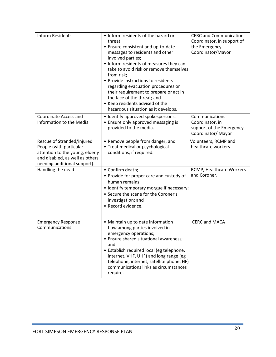| <b>Inform Residents</b>                                                                                                                                     | • Inform residents of the hazard or<br>threat;<br>• Ensure consistent and up-to-date<br>messages to residents and other<br>involved parties;<br>• Inform residents of measures they can<br>take to avoid risk or remove themselves<br>from risk;<br>• Provide instructions to residents<br>regarding evacuation procedures or<br>their requirement to prepare or act in<br>the face of the threat; and<br>• Keep residents advised of the<br>hazardous situation as it develops. | <b>CERC and Communications</b><br>Coordinator, in support of<br>the Emergency<br>Coordinator/Mayor |
|-------------------------------------------------------------------------------------------------------------------------------------------------------------|----------------------------------------------------------------------------------------------------------------------------------------------------------------------------------------------------------------------------------------------------------------------------------------------------------------------------------------------------------------------------------------------------------------------------------------------------------------------------------|----------------------------------------------------------------------------------------------------|
| Coordinate Access and<br>Information to the Media                                                                                                           | • Identify approved spokespersons.<br>• Ensure only approved messaging is<br>provided to the media.                                                                                                                                                                                                                                                                                                                                                                              | Communications<br>Coordinator, in<br>support of the Emergency<br>Coordinator/Mayor                 |
| Rescue of Stranded/injured<br>People (with particular<br>attention to the young, elderly<br>and disabled, as well as others<br>needing additional support). | • Remove people from danger; and<br>• Treat medical or psychological<br>conditions, if required.                                                                                                                                                                                                                                                                                                                                                                                 | Volunteers, RCMP and<br>healthcare workers                                                         |
| Handling the dead                                                                                                                                           | • Confirm death;<br>• Provide for proper care and custody of<br>human remains;<br>• Identify temporary morgue if necessary;<br>• Secure the scene for the Coroner's<br>investigation; and<br>• Record evidence.                                                                                                                                                                                                                                                                  | RCMP, Healthcare Workers<br>and Coroner.                                                           |
| <b>Emergency Response</b><br>Communications                                                                                                                 | • Maintain up to date information<br>flow among parties involved in<br>emergency operations;<br>• Ensure shared situational awareness;<br>and<br>• Establish required local (eg telephone,<br>internet, VHF, UHF) and long range (eg<br>telephone, internet, satellite phone, HF)<br>communications links as circumstances<br>require.                                                                                                                                           | <b>CERC and MACA</b>                                                                               |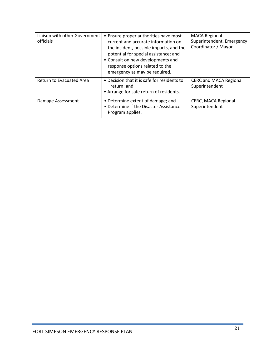| Liaison with other Government<br>officials | • Ensure proper authorities have most<br>current and accurate information on<br>the incident, possible impacts, and the<br>potential for special assistance; and<br>• Consult on new developments and<br>response options related to the<br>emergency as may be required. | <b>MACA Regional</b><br>Superintendent, Emergency<br>Coordinator / Mayor |
|--------------------------------------------|---------------------------------------------------------------------------------------------------------------------------------------------------------------------------------------------------------------------------------------------------------------------------|--------------------------------------------------------------------------|
| <b>Return to Evacuated Area</b>            | • Decision that it is safe for residents to<br>return; and<br>• Arrange for safe return of residents.                                                                                                                                                                     | <b>CERC and MACA Regional</b><br>Superintendent                          |
| Damage Assessment                          | • Determine extent of damage; and<br>• Determine if the Disaster Assistance<br>Program applies.                                                                                                                                                                           | CERC, MACA Regional<br>Superintendent                                    |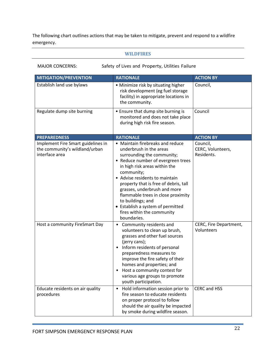The following chart outlines actions that may be taken to mitigate, prevent and respond to a wildfire emergency.

#### <span id="page-22-0"></span>**WILDFIRES**

MAJOR CONCERNS: Safety of Lives and Property, Utilities Failure

| <b>MITIGATION/PREVENTION</b>                                                           | <b>RATIONALE</b>                                                                                                                                                                                                                                                                                                                                                                                                                       | <b>ACTION BY</b>                            |
|----------------------------------------------------------------------------------------|----------------------------------------------------------------------------------------------------------------------------------------------------------------------------------------------------------------------------------------------------------------------------------------------------------------------------------------------------------------------------------------------------------------------------------------|---------------------------------------------|
| Establish land use bylaws                                                              | • Minimize risk by situating higher<br>risk development (eg fuel storage<br>facility) in appropriate locations in<br>the community.                                                                                                                                                                                                                                                                                                    | Council,                                    |
| Regulate dump site burning                                                             | • Ensure that dump site burning is<br>monitored and does not take place<br>during high risk fire season.                                                                                                                                                                                                                                                                                                                               | Council                                     |
| <b>PREPAREDNESS</b>                                                                    | <b>RATIONALE</b>                                                                                                                                                                                                                                                                                                                                                                                                                       | <b>ACTION BY</b>                            |
| Implement Fire Smart guidelines in<br>the community's wildland/urban<br>interface area | • Maintain firebreaks and reduce<br>underbrush in the areas<br>surrounding the community;<br>• Reduce number of evergreen trees<br>in high risk areas within the<br>community;<br>• Advise residents to maintain<br>property that is free of debris, tall<br>grasses, underbrush and more<br>flammable trees in close proximity<br>to buildings; and<br>• Establish a system of permitted<br>fires within the community<br>boundaries. | Council,<br>CERC, Volunteers,<br>Residents. |
| Host a community FireSmart Day                                                         | Community residents and<br>$\bullet$<br>volunteers to clean up brush,<br>grasses and other fuel sources<br>(jerry cans);<br>Inform residents of personal<br>$\bullet$<br>preparedness measures to<br>improve the fire safety of their<br>homes and properties; and<br>Host a community contest for<br>various age groups to promote<br>youth participation.                                                                            | CERC, Fire Department,<br>Volunteers        |
| Educate residents on air quality<br>procedures                                         | Hold information session prior to<br>$\bullet$<br>fire season to educate residents<br>on proper protocol to follow<br>should the air quality be impacted<br>by smoke during wildfire season.                                                                                                                                                                                                                                           | CERC and HSS                                |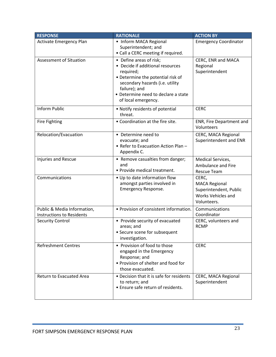| <b>RESPONSE</b>                                                 | <b>RATIONALE</b>                                                                                                                                                                                                                | <b>ACTION BY</b>                                                                             |
|-----------------------------------------------------------------|---------------------------------------------------------------------------------------------------------------------------------------------------------------------------------------------------------------------------------|----------------------------------------------------------------------------------------------|
| <b>Activate Emergency Plan</b>                                  | • Inform MACA Regional<br>Superintendent; and<br>• Call a CERC meeting if required.                                                                                                                                             | <b>Emergency Coordinator</b>                                                                 |
| <b>Assessment of Situation</b>                                  | • Define areas of risk;<br>• Decide if additional resources<br>required;<br>• Determine the potential risk of<br>secondary hazards (i.e. utility<br>failure); and<br>• Determine need to declare a state<br>of local emergency. | CERC, ENR and MACA<br>Regional<br>Superintendent                                             |
| <b>Inform Public</b>                                            | • Notify residents of potential<br>threat.                                                                                                                                                                                      | <b>CERC</b>                                                                                  |
| <b>Fire Fighting</b>                                            | • Coordination at the fire site.                                                                                                                                                                                                | ENR, Fire Department and<br>Volunteers                                                       |
| Relocation/Evacuation                                           | • Determine need to<br>evacuate; and<br>• Refer to Evacuation Action Plan -<br>Appendix C.                                                                                                                                      | CERC, MACA Regional<br>Superintendent and ENR                                                |
| Injuries and Rescue                                             | • Remove casualties from danger;<br>and<br>• Provide medical treatment.                                                                                                                                                         | Medical Services,<br>Ambulance and Fire<br><b>Rescue Team</b>                                |
| Communications                                                  | • Up to date information flow<br>amongst parties involved in<br>Emergency Response.                                                                                                                                             | CERC,<br><b>MACA Regional</b><br>Superintendent, Public<br>Works Vehicles and<br>Volunteers. |
| Public & Media Information,<br><b>Instructions to Residents</b> | • Provision of consistent information.                                                                                                                                                                                          | Communications<br>Coordinator                                                                |
| <b>Security Control</b>                                         | • Provide security of evacuated<br>areas; and<br>• Secure scene for subsequent<br>investigation.                                                                                                                                | CERC, volunteers and<br><b>RCMP</b>                                                          |
| <b>Refreshment Centres</b>                                      | • Provision of food to those<br>engaged in the Emergency<br>Response; and<br>• Provision of shelter and food for<br>those evacuated.                                                                                            | <b>CERC</b>                                                                                  |
| <b>Return to Evacuated Area</b>                                 | • Decision that it is safe for residents<br>to return; and<br>• Ensure safe return of residents.                                                                                                                                | CERC, MACA Regional<br>Superintendent                                                        |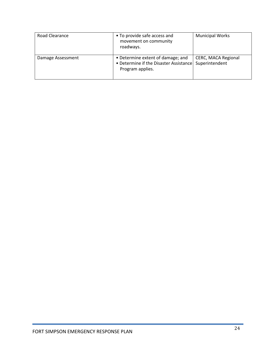| Road Clearance    | • To provide safe access and<br>movement on community<br>roadways.                              | <b>Municipal Works</b>                       |
|-------------------|-------------------------------------------------------------------------------------------------|----------------------------------------------|
| Damage Assessment | • Determine extent of damage; and<br>• Determine if the Disaster Assistance<br>Program applies. | <b>CERC, MACA Regional</b><br>Superintendent |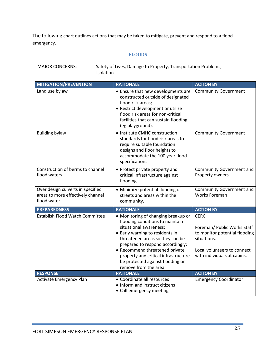The following chart outlines actions that may be taken to mitigate, prevent and respond to a flood emergency.

#### <span id="page-25-0"></span>**FLOODS**

Safety of Lives, Damage to Property, Transportation Problems, Isolation

| <b>MITIGATION/PREVENTION</b>                                                          | <b>RATIONALE</b>                                                                                                                                                                                                                                                                                                                                  | <b>ACTION BY</b>                                                                                                                                         |
|---------------------------------------------------------------------------------------|---------------------------------------------------------------------------------------------------------------------------------------------------------------------------------------------------------------------------------------------------------------------------------------------------------------------------------------------------|----------------------------------------------------------------------------------------------------------------------------------------------------------|
| Land use bylaw                                                                        | • Ensure that new developments are<br>constructed outside of designated<br>flood risk areas;<br>• Restrict development or utilize<br>flood risk areas for non-critical<br>facilities that can sustain flooding<br>(eg playground).                                                                                                                | <b>Community Government</b>                                                                                                                              |
| <b>Building bylaw</b>                                                                 | • Institute CMHC construction<br>standards for flood risk areas to<br>require suitable foundation<br>designs and floor heights to<br>accommodate the 100 year flood<br>specifications.                                                                                                                                                            | <b>Community Government</b>                                                                                                                              |
| Construction of berms to channel<br>flood waters                                      | • Protect private property and<br>critical infrastructure against<br>flooding.                                                                                                                                                                                                                                                                    | Community Government and<br>Property owners                                                                                                              |
| Over design culverts in specified<br>areas to more effectively channel<br>flood water | • Minimize potential flooding of<br>streets and areas within the<br>community.                                                                                                                                                                                                                                                                    | Community Government and<br><b>Works Foreman</b>                                                                                                         |
| <b>PREPAREDNESS</b>                                                                   | <b>RATIONALE</b>                                                                                                                                                                                                                                                                                                                                  | <b>ACTION BY</b>                                                                                                                                         |
| Establish Flood Watch Committee                                                       | • Monitoring of changing breakup or<br>flooding conditions to maintain<br>situational awareness;<br>• Early warning to residents in<br>threatened areas so they can be<br>prepared to respond accordingly;<br>• Recommend threatened private<br>property and critical infrastructure<br>be protected against flooding or<br>remove from the area. | <b>CERC</b><br>Foreman/ Public Works Staff<br>to monitor potential flooding<br>situations.<br>Local volunteers to connect<br>with individuals at cabins. |
| <b>RESPONSE</b>                                                                       | <b>RATIONALE</b>                                                                                                                                                                                                                                                                                                                                  | <b>ACTION BY</b>                                                                                                                                         |
| <b>Activate Emergency Plan</b>                                                        | • Coordinate all resources<br>• Inform and instruct citizens<br>• Call emergency meeting                                                                                                                                                                                                                                                          | <b>Emergency Coordinator</b>                                                                                                                             |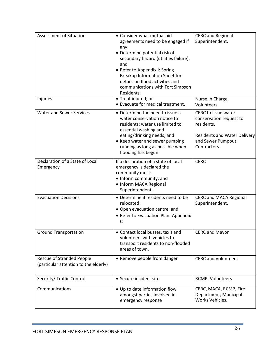| <b>Assessment of Situation</b>                                            | • Consider what mutual aid<br>agreements need to be engaged if<br>any;<br>• Determine potential risk of<br>secondary hazard (utilities failure);<br>and<br>• Refer to Appendix I: Spring<br>Breakup Information Sheet for<br>details on flood activities and<br>communications with Fort Simpson<br>Residents. | <b>CERC and Regional</b><br>Superintendent.                                                                                              |
|---------------------------------------------------------------------------|----------------------------------------------------------------------------------------------------------------------------------------------------------------------------------------------------------------------------------------------------------------------------------------------------------------|------------------------------------------------------------------------------------------------------------------------------------------|
| Injuries                                                                  | • Treat injured; or<br>• Evacuate for medical treatment.                                                                                                                                                                                                                                                       | Nurse In Charge,<br>Volunteers                                                                                                           |
| <b>Water and Sewer Services</b>                                           | • Determine the need to issue a<br>water conservation notice to<br>residents: water use limited to<br>essential washing and<br>eating/drinking needs; and<br>• Keep water and sewer pumping<br>running as long as possible when<br>flooding has begun.                                                         | CERC to issue water<br>conservation request to<br>residents.<br><b>Residents and Water Delivery</b><br>and Sewer Pumpout<br>Contractors. |
| Declaration of a State of Local<br>Emergency                              | If a declaration of a state of local<br>emergency is declared the<br>community must:<br>• Inform community; and<br>• Inform MACA Regional<br>Superintendent.                                                                                                                                                   | <b>CERC</b>                                                                                                                              |
| <b>Evacuation Decisions</b>                                               | • Determine if residents need to be<br>relocated;<br>• Open evacuation centre; and<br>• Refer to Evacuation Plan-Appendix<br>$\mathsf{C}$                                                                                                                                                                      | <b>CERC and MACA Regional</b><br>Superintendent.                                                                                         |
| <b>Ground Transportation</b>                                              | • Contact local busses, taxis and<br>volunteers with vehicles to<br>transport residents to non-flooded<br>areas of town.                                                                                                                                                                                       | <b>CERC and Mayor</b>                                                                                                                    |
| <b>Rescue of Stranded People</b><br>(particular attention to the elderly) | • Remove people from danger                                                                                                                                                                                                                                                                                    | <b>CERC and Volunteers</b>                                                                                                               |
| Security/ Traffic Control                                                 | • Secure incident site                                                                                                                                                                                                                                                                                         | RCMP, Volunteers                                                                                                                         |
| Communications                                                            | • Up to date information flow<br>amongst parties involved in<br>emergency response                                                                                                                                                                                                                             | CERC, MACA, RCMP, Fire<br>Department, Municipal<br>Works Vehicles.                                                                       |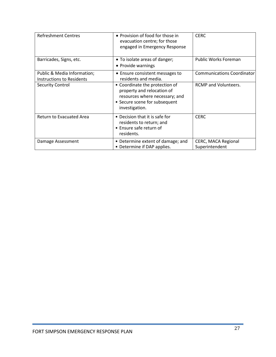| <b>Refreshment Centres</b>                               | • Provision of food for those in<br>evacuation centre; for those<br>engaged in Emergency Response                                                 | <b>CERC</b>                                  |
|----------------------------------------------------------|---------------------------------------------------------------------------------------------------------------------------------------------------|----------------------------------------------|
| Barricades, Signs, etc.                                  | • To isolate areas of danger;<br>• Provide warnings                                                                                               | <b>Public Works Foreman</b>                  |
| Public & Media Information;<br>Instructions to Residents | • Ensure consistent messages to<br>residents and media.                                                                                           | <b>Communications Coordinator</b>            |
| <b>Security Control</b>                                  | • Coordinate the protection of<br>property and relocation of<br>resources where necessary; and<br>• Secure scene for subsequent<br>investigation. | <b>RCMP</b> and Volunteers.                  |
| Return to Evacuated Area                                 | • Decision that it is safe for<br>residents to return; and<br>• Ensure safe return of<br>residents.                                               | <b>CERC</b>                                  |
| Damage Assessment                                        | • Determine extent of damage; and<br>• Determine if DAP applies.                                                                                  | <b>CERC, MACA Regional</b><br>Superintendent |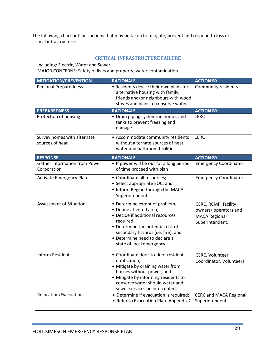The following chart outlines actions that may be taken to mitigate, prevent and respond to loss of critical infrastructure.

#### <span id="page-28-0"></span>**CRITICAL INFRASTRUCTURE FAILURE**

Including: Electric, Water and Sewer. MAJOR CONCERNS: Safety of lives and property, water contamination.

| <b>MITIGATION/PREVENTION</b>                        | <b>RATIONALE</b>                                                                                                                                                                                                                                    | <b>ACTION BY</b>                                                                         |
|-----------------------------------------------------|-----------------------------------------------------------------------------------------------------------------------------------------------------------------------------------------------------------------------------------------------------|------------------------------------------------------------------------------------------|
| <b>Personal Preparedness</b>                        | • Residents devise their own plans for<br>alternative housing with family,<br>friends and/or neighbours with wood<br>stoves and plans to conserve water.                                                                                            | <b>Community residents</b>                                                               |
| <b>PREPAREDNESS</b>                                 | <b>RATIONALE</b>                                                                                                                                                                                                                                    | <b>ACTION BY</b>                                                                         |
| Protection of housing                               | • Drain piping systems in homes and<br>tanks to prevent freezing and<br>damage.                                                                                                                                                                     | <b>CERC</b>                                                                              |
| Survey homes with alternate<br>sources of heat      | • Accommodate community residents<br>without alternate sources of heat,<br>water and bathroom facilities.                                                                                                                                           | <b>CERC</b>                                                                              |
| <b>RESPONSE</b>                                     | <b>RATIONALE</b>                                                                                                                                                                                                                                    | <b>ACTION BY</b>                                                                         |
| <b>Gather information from Power</b><br>Corporation | • If power will be out for a long period<br>of time proceed with plan                                                                                                                                                                               | <b>Emergency Coordinator</b>                                                             |
| Activate Emergency Plan                             | • Coordinate all resources;<br>• Select appropriate EOC; and<br>. Inform Region through the MACA<br>Superintendent.                                                                                                                                 | <b>Emergency Coordinator</b>                                                             |
| <b>Assessment of Situation</b>                      | • Determine extent of problem;<br>• Define affected area;<br>• Decide if additional resources<br>required;<br>• Determine the potential risk of<br>secondary hazards (i.e. fire); and<br>• Determine need to declare a<br>state of local emergency. | CERC, RCMP, facility<br>owners/ operators and<br><b>MACA Regional</b><br>Superintendent. |
| <b>Inform Residents</b>                             | • Coordinate door-to-door resident<br>notification;<br>• Mitigate by draining water from<br>houses without power; and<br>• Mitigate by informing residents to<br>conserve water should water and<br>sewer services be interrupted.                  | CERC, Volunteer<br>Coordinator, Volunteers                                               |
| Relocation/Evacuation                               | • Determine if evacuation is required;<br>• Refer to Evacuation Plan-Appendix C                                                                                                                                                                     | <b>CERC and MACA Regional</b><br>Superintendent.                                         |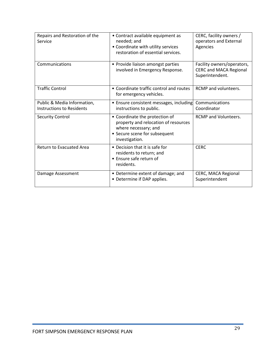| Repairs and Restoration of the<br>Service                | • Contract available equipment as<br>needed; and<br>• Coordinate with utility services<br>restoration of essential services.                      | CERC, facility owners /<br>operators and External<br>Agencies                  |
|----------------------------------------------------------|---------------------------------------------------------------------------------------------------------------------------------------------------|--------------------------------------------------------------------------------|
| Communications                                           | • Provide liaison amongst parties<br>involved in Emergency Response.                                                                              | Facility owners/operators,<br><b>CERC and MACA Regional</b><br>Superintendent. |
| <b>Traffic Control</b>                                   | • Coordinate traffic control and routes<br>for emergency vehicles.                                                                                | <b>RCMP</b> and volunteers.                                                    |
| Public & Media Information,<br>Instructions to Residents | • Ensure consistent messages, including<br>instructions to public.                                                                                | Communications<br>Coordinator                                                  |
| <b>Security Control</b>                                  | • Coordinate the protection of<br>property and relocation of resources<br>where necessary; and<br>• Secure scene for subsequent<br>investigation. | <b>RCMP</b> and Volunteers.                                                    |
| <b>Return to Evacuated Area</b>                          | • Decision that it is safe for<br>residents to return; and<br>• Ensure safe return of<br>residents.                                               | <b>CERC</b>                                                                    |
| Damage Assessment                                        | • Determine extent of damage; and<br>• Determine if DAP applies.                                                                                  | <b>CERC, MACA Regional</b><br>Superintendent                                   |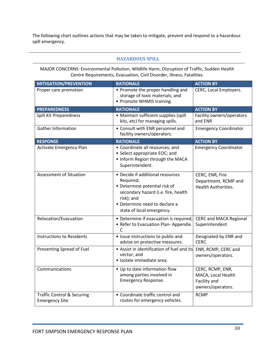The following chart outlines actions that may be taken to mitigate, prevent and respond to a hazardous spill emergency.

#### <span id="page-30-0"></span>**HAZARDOUS SPILL**

MAJOR CONCERNS: Environmental Pollution, Wildlife Harm, Disruption of Traffic, Sudden Health Centre Requirements, Evacuation, Civil Disorder, Illness, Fatalities.

| <b>MITIGATION/PREVENTION</b>                                   | <b>RATIONALE</b>                                                                                                                                                                                  | <b>ACTION BY</b>                                                            |
|----------------------------------------------------------------|---------------------------------------------------------------------------------------------------------------------------------------------------------------------------------------------------|-----------------------------------------------------------------------------|
| Proper care promotion                                          | • Promote the proper handling and<br>storage of toxic materials; and<br>• Promote WHMIS training.                                                                                                 | CERC, Local Employers.                                                      |
| <b>PREPAREDNESS</b>                                            | <b>RATIONALE</b>                                                                                                                                                                                  | <b>ACTION BY</b>                                                            |
| Spill Kit Preparedness                                         | • Maintain sufficient supplies (spill<br>kits, etc) for managing spills.                                                                                                                          | Facility owners/operators<br>and ENR                                        |
| <b>Gather Information</b>                                      | • Consult with ENR personnel and<br>facility owners/operators.                                                                                                                                    | <b>Emergency Coordinator</b>                                                |
| <b>RESPONSE</b>                                                | <b>RATIONALE</b>                                                                                                                                                                                  | <b>ACTION BY</b>                                                            |
| <b>Activate Emergency Plan</b>                                 | • Coordinate all resources; and<br>• Select appropriate EOC; and<br>. Inform Region through the MACA<br>Superintendent.                                                                           | <b>Emergency Coordinator</b>                                                |
| <b>Assessment of Situation</b>                                 | • Decide if additional resources<br>Required;<br>• Determine potential risk of<br>secondary hazard (i.e. fire, health<br>risk); and<br>• Determine need to declare a<br>state of local emergency. | CERC, ENR, Fire<br>Department, RCMP and<br><b>Health Authorities.</b>       |
| Relocation/Evacuation                                          | • Determine if evacuation is required;<br>• Refer to Evacuation Plan-Appendix<br>$\mathsf{C}$                                                                                                     | <b>CERC and MACA Regional</b><br>Superintendent                             |
| <b>Instructions to Residents</b>                               | • Issue instructions to public and<br>advise on protective measures.                                                                                                                              | Designated by ENR and<br>CERC.                                              |
| Preventing Spread of Fuel                                      | • Assist in identification of fuel and its<br>vector; and<br>· Isolate immediate area.                                                                                                            | ENR, RCMP, CERC and<br>owners/operators.                                    |
| Communications                                                 | • Up to date information flow<br>among parties involved in<br>Emergency Response.                                                                                                                 | CERC, RCMP, ENR,<br>MACA, Local Health<br>Facility and<br>owners/operators. |
| <b>Traffic Control &amp; Securing</b><br><b>Emergency Site</b> | • Coordinate traffic control and<br>routes for emergency vehicles.                                                                                                                                | <b>RCMP</b>                                                                 |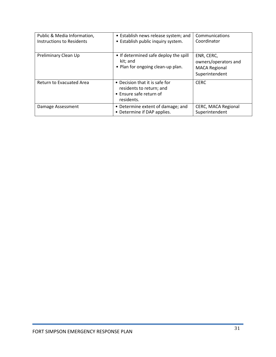| Public & Media Information,<br><b>Instructions to Residents</b> | • Establish news release system; and<br>• Establish public inquiry system.                          | Communications<br>Coordinator                                                |
|-----------------------------------------------------------------|-----------------------------------------------------------------------------------------------------|------------------------------------------------------------------------------|
| Preliminary Clean Up                                            | • If determined safe deploy the spill<br>kit; and<br>• Plan for ongoing clean-up plan.              | ENR, CERC,<br>owners/operators and<br><b>MACA Regional</b><br>Superintendent |
| Return to Evacuated Area                                        | • Decision that it is safe for<br>residents to return; and<br>• Ensure safe return of<br>residents. | <b>CERC</b>                                                                  |
| Damage Assessment                                               | • Determine extent of damage; and<br>• Determine if DAP applies.                                    | CERC, MACA Regional<br>Superintendent                                        |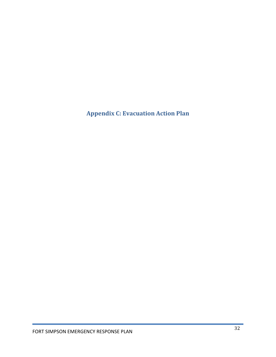<span id="page-32-0"></span>**Appendix C: Evacuation Action Plan**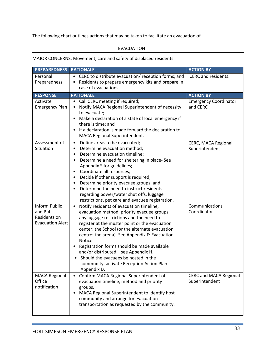The following chart outlines actions that may be taken to facilitate an evacuation of.

#### EVACUATION

#### MAJOR CONCERNS: Movement, care and safety of displaced residents.

| <b>PREPAREDNESS</b>                                                        | <b>RATIONALE</b>                                                                                                                                                                                                                                                                                                                                                                                                                                                                                               | <b>ACTION BY</b>                                |
|----------------------------------------------------------------------------|----------------------------------------------------------------------------------------------------------------------------------------------------------------------------------------------------------------------------------------------------------------------------------------------------------------------------------------------------------------------------------------------------------------------------------------------------------------------------------------------------------------|-------------------------------------------------|
| Personal<br>Preparedness                                                   | • CERC to distribute evacuation/ reception forms; and<br>Residents to prepare emergency kits and prepare in<br>case of evacuations.                                                                                                                                                                                                                                                                                                                                                                            | CERC and residents.                             |
| <b>RESPONSE</b>                                                            | <b>RATIONALE</b>                                                                                                                                                                                                                                                                                                                                                                                                                                                                                               | <b>ACTION BY</b>                                |
| Activate<br><b>Emergency Plan</b>                                          | Call CERC meeting if required;<br>٠<br>Notify MACA Regional Superintendent of necessity<br>to evacuate;<br>Make a declaration of a state of local emergency if<br>there is time; and<br>If a declaration is made forward the declaration to<br>MACA Regional Superintendent.                                                                                                                                                                                                                                   | <b>Emergency Coordinator</b><br>and CERC        |
| Assessment of<br>Situation                                                 | Define areas to be evacuated;<br>$\bullet$<br>Determine evacuation method;<br>$\bullet$<br>Determine evacuation timeline;<br>$\bullet$<br>Determine a need for sheltering in place-See<br>Appendix S for guidelines;<br>Coordinate all resources;<br>Decide if other support is required;<br>Determine priority evacuee groups; and<br>Determine the need to instruct residents<br>regarding power/water shut offs, luggage<br>restrictions, pet care and evacuee registration.                                | CERC, MACA Regional<br>Superintendent           |
| <b>Inform Public</b><br>and Put<br>Residents on<br><b>Evacuation Alert</b> | Notify residents of evacuation timeline,<br>$\bullet$<br>evacuation method, priority evacuee groups,<br>any luggage restrictions and the need to<br>register at the muster point or the evacuation<br>center: the School (or the alternate evacuation<br>centre: the arena)- See Appendix F: Evacuation<br>Notice.<br>Registration forms should be made available<br>and/or distributed - see Appendix H.<br>Should the evacuees be hosted in the<br>community, activate Reception Action Plan-<br>Appendix D. | Communications<br>Coordinator                   |
| <b>MACA Regional</b><br>Office<br>notification                             | Confirm MACA Regional Superintendent of<br>$\bullet$<br>evacuation timeline, method and priority<br>groups.<br>MACA Regional Superintendent to identify host<br>٠<br>community and arrange for evacuation<br>transportation as requested by the community.                                                                                                                                                                                                                                                     | <b>CERC and MACA Regional</b><br>Superintendent |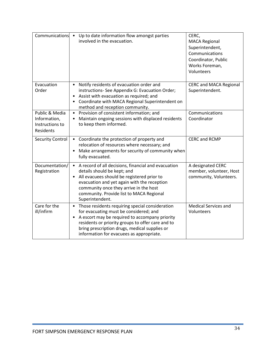| Communications                                                 | Up to date information flow amongst parties<br>involved in the evacuation.                                                                                                                                                                                                                                 | CERC,<br><b>MACA Regional</b><br>Superintendent,<br>Communications<br>Coordinator, Public<br>Works Foreman,<br>Volunteers |
|----------------------------------------------------------------|------------------------------------------------------------------------------------------------------------------------------------------------------------------------------------------------------------------------------------------------------------------------------------------------------------|---------------------------------------------------------------------------------------------------------------------------|
| Evacuation<br>Order                                            | Notify residents of evacuation order and<br>instructions- See Appendix G: Evacuation Order;<br>Assist with evacuation as required; and<br>Coordinate with MACA Regional Superintendent on<br>method and reception community.                                                                               | <b>CERC and MACA Regional</b><br>Superintendent.                                                                          |
| Public & Media<br>Information,<br>Instructions to<br>Residents | Provision of consistent information; and<br>$\bullet$<br>Maintain ongoing sessions with displaced residents<br>to keep them informed.                                                                                                                                                                      | Communications<br>Coordinator                                                                                             |
| <b>Security Control</b>                                        | Coordinate the protection of property and<br>$\bullet$<br>relocation of resources where necessary; and<br>Make arrangements for security of community when<br>fully evacuated.                                                                                                                             | <b>CERC and RCMP</b>                                                                                                      |
| Documentation/<br>Registration                                 | A record of all decisions, financial and evacuation<br>$\bullet$<br>details should be kept; and<br>All evacuees should be registered prior to<br>evacuation and yet again with the reception<br>community once they arrive in the host<br>community. Provide list to MACA Regional<br>Superintendent.      | A designated CERC<br>member, volunteer, Host<br>community, Volunteers.                                                    |
| Care for the<br>ill/infirm                                     | Those residents requiring special consideration<br>$\bullet$<br>for evacuating must be considered; and<br>A escort may be required to accompany priority<br>residents or priority groups to offer care and to<br>bring prescription drugs, medical supplies or<br>information for evacuees as appropriate. | <b>Medical Services and</b><br>Volunteers                                                                                 |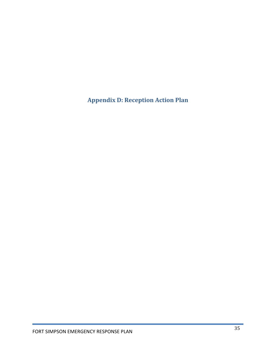<span id="page-35-0"></span>**Appendix D: Reception Action Plan**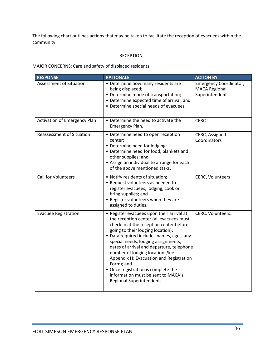The following chart outlines actions that may be taken to facilitate the reception of evacuees within the community.

## RECEPTION

MAJOR CONCERNS: Care and safety of displaced residents.

| <b>RESPONSE</b>                  | <b>RATIONALE</b>                                                                                                                                                                                                                                                                                                                                                                                                                                                                                           | <b>ACTION BY</b>                                                        |
|----------------------------------|------------------------------------------------------------------------------------------------------------------------------------------------------------------------------------------------------------------------------------------------------------------------------------------------------------------------------------------------------------------------------------------------------------------------------------------------------------------------------------------------------------|-------------------------------------------------------------------------|
| Assessment of Situation          | • Determine how many residents are<br>being displaced;<br>• Determine mode of transportation;<br>• Determine expected time of arrival; and<br>• Determine special needs of evacuees.                                                                                                                                                                                                                                                                                                                       | <b>Emergency Coordinator,</b><br><b>MACA Regional</b><br>Superintendent |
| Activation of Emergency Plan     | • Determine the need to activate the<br>Emergency Plan.                                                                                                                                                                                                                                                                                                                                                                                                                                                    | <b>CERC</b>                                                             |
| <b>Reassessment of Situation</b> | • Determine need to open reception<br>center;<br>• Determine need for lodging;<br>• Determine need for food, blankets and<br>other supplies; and<br>• Assign an individual to arrange for each<br>of the above mentioned tasks.                                                                                                                                                                                                                                                                            | CERC, Assigned<br>Coordinators                                          |
| <b>Call for Volunteers</b>       | • Notify residents of situation;<br>• Request volunteers as needed to<br>register evacuees, lodging, cook or<br>bring supplies; and<br>• Register volunteers when they are<br>assigned to duties.                                                                                                                                                                                                                                                                                                          | CERC, Volunteers                                                        |
| <b>Evacuee Registration</b>      | • Register evacuees upon their arrival at<br>the reception center (all evacuees must<br>check in at the reception center before<br>going to their lodging location);<br>• Data required includes names, ages, any<br>special needs, lodging assignments,<br>dates of arrival and departure, telephone<br>number of lodging location (See<br>Appendix H: Evacuation and Registration<br>Form); and<br>• Once registration is complete the<br>information must be sent to MACA's<br>Regional Superintendent. | CERC, Volunteers.                                                       |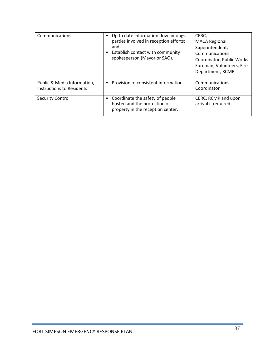| Communications                                           | Up to date information flow amongst<br>parties involved in reception efforts;<br>and<br>Establish contact with community<br>spokesperson (Mayor or SAO). | CERC,<br><b>MACA Regional</b><br>Superintendent,<br>Communications<br>Coordinator, Public Works<br>Foreman, Volunteers, Fire<br>Department, RCMP |
|----------------------------------------------------------|----------------------------------------------------------------------------------------------------------------------------------------------------------|--------------------------------------------------------------------------------------------------------------------------------------------------|
| Public & Media Information,<br>Instructions to Residents | Provision of consistent information.                                                                                                                     | Communications<br>Coordinator                                                                                                                    |
| <b>Security Control</b>                                  | Coordinate the safety of people<br>hosted and the protection of<br>property in the reception center.                                                     | CERC, RCMP and upon<br>arrival if required.                                                                                                      |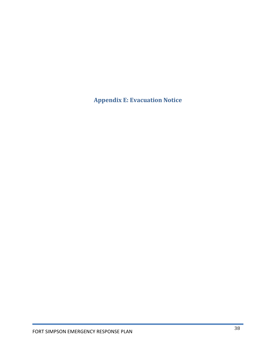**Appendix E: Evacuation Notice**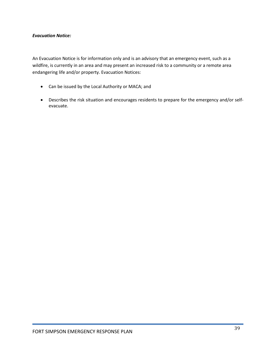#### *Evacuation Notice:*

An Evacuation Notice is for information only and is an advisory that an emergency event, such as a wildfire, is currently in an area and may present an increased risk to a community or a remote area endangering life and/or property. Evacuation Notices:

- Can be issued by the Local Authority or MACA; and
- Describes the risk situation and encourages residents to prepare for the emergency and/or selfevacuate.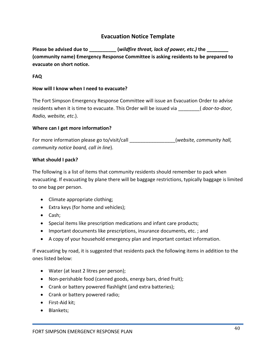## **Evacuation Notice Template**

**Please be advised due to \_\_\_\_\_\_\_\_\_\_ (***wildfire threat, lack of power, etc.)* **the \_\_\_\_\_\_\_\_ (community name) Emergency Response Committee is asking residents to be prepared to evacuate on short notice.** 

## **FAQ**

## **How will I know when I need to evacuate?**

The Fort Simpson Emergency Response Committee will issue an Evacuation Order to advise residents when it is time to evacuate. This Order will be issued via \_\_\_\_\_\_\_\_( *door-to-door, Radio, website, etc*.).

## **Where can I get more information?**

For more information please go to/visit/call \_\_\_\_\_\_\_\_\_\_\_\_\_\_\_\_\_(*website, community hall, community notice board, call in line*).

## **What should I pack?**

The following is a list of items that community residents should remember to pack when evacuating. If evacuating by plane there will be baggage restrictions, typically baggage is limited to one bag per person.

- Climate appropriate clothing;
- Extra keys (for home and vehicles);
- Cash;
- Special items like prescription medications and infant care products;
- Important documents like prescriptions, insurance documents, etc. ; and
- A copy of your household emergency plan and important contact information.

If evacuating by road, it is suggested that residents pack the following items in addition to the ones listed below:

- Water (at least 2 litres per person);
- Non-perishable food (canned goods, energy bars, dried fruit);
- Crank or battery powered flashlight (and extra batteries);
- Crank or battery powered radio;
- First-Aid kit;
- Blankets;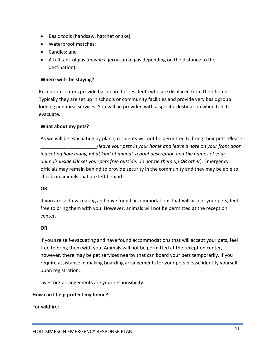- Basic tools (handsaw, hatchet or axe);
- Waterproof matches;
- Candles; and
- A full tank of gas (maybe a jerry can of gas depending on the distance to the destination).

## **Where will I be staying?**

Reception centers provide basic care for residents who are displaced from their homes. Typically they are set up in schools or community facilities and provide very basic group lodging and meal services. You will be provided with a specific destination when told to evacuate.

## **What about my pets?**

As we will be evacuating by plane, residents will not be permitted to bring their pets. Please \_\_\_\_\_\_\_\_\_\_\_\_\_\_\_\_\_\_\_\_\_(*leave your pets in your home and leave a note on your front door indicating how many, what kind of animal, a brief description and the names of your animals inside OR set your pets free outside, do not tie them up OR other*). Emergency officials may remain behind to provide security in the community and they may be able to check on animals that are left behind.

## **OR**

If you are self-evacuating and have found accommodations that will accept your pets, feel free to bring them with you. However, animals will not be permitted at the reception center.

## **OR**

If you are self-evacuating and have found accommodations that will accept your pets, feel free to bring them with you. Animals will not be permitted at the reception center, however, there may be pet services nearby that can board your pets temporarily. If you require assistance in making boarding arrangements for your pets please identify yourself upon registration.

Livestock arrangements are your responsibility.

## **How can I help protect my home?**

For wildfire: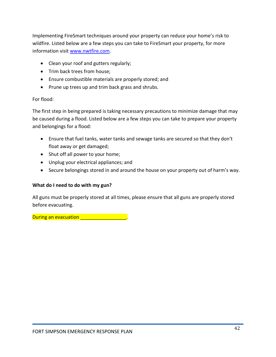Implementing FireSmart techniques around your property can reduce your home's risk to wildfire. Listed below are a few steps you can take to FireSmart your property, for more information visit [www.nwtfire.com.](http://www.nwtfire.com/)

- Clean your roof and gutters regularly;
- Trim back trees from house;
- Ensure combustible materials are properly stored; and
- Prune up trees up and trim back grass and shrubs.

## For flood:

The first step in being prepared is taking necessary precautions to minimize damage that may be caused during a flood. Listed below are a few steps you can take to prepare your property and belongings for a flood:

- Ensure that fuel tanks, water tanks and sewage tanks are secured so that they don't float away or get damaged;
- Shut off all power to your home;
- Unplug your electrical appliances; and
- Secure belongings stored in and around the house on your property out of harm's way.

## **What do I need to do with my gun?**

All guns must be properly stored at all times, please ensure that all guns are properly stored before evacuating.

During an evacuation **During an evacuation**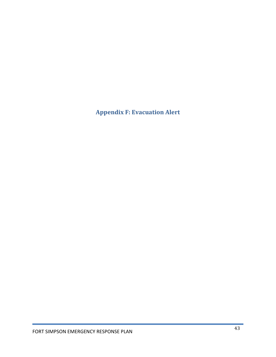**Appendix F: Evacuation Alert**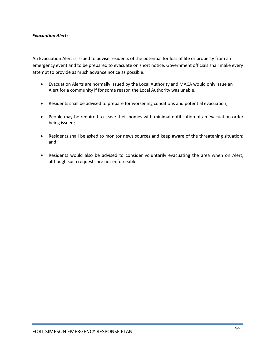#### *Evacuation Alert:*

An Evacuation Alert is issued to advise residents of the potential for loss of life or property from an emergency event and to be prepared to evacuate on short notice. Government officials shall make every attempt to provide as much advance notice as possible.

- Evacuation Alerts are normally issued by the Local Authority and MACA would only issue an Alert for a community if for some reason the Local Authority was unable.
- Residents shall be advised to prepare for worsening conditions and potential evacuation;
- People may be required to leave their homes with minimal notification of an evacuation order being issued;
- Residents shall be asked to monitor news sources and keep aware of the threatening situation; and
- Residents would also be advised to consider voluntarily evacuating the area when on Alert, although such requests are not enforceable.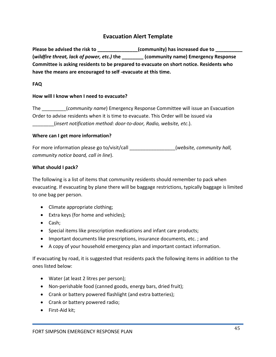## **Evacuation Alert Template**

Please be advised the risk to \_\_\_\_\_\_\_\_\_\_\_\_\_\_\_\_(community) has increased due to \_\_\_\_\_\_\_\_\_\_\_ **(***wildfire threat, lack of power, etc.)* **the \_\_\_\_\_\_\_\_ (community name) Emergency Response Committee is asking residents to be prepared to evacuate on short notice. Residents who have the means are encouraged to self -evacuate at this time.**

## **FAQ**

## **How will I know when I need to evacuate?**

The \_\_\_\_\_\_\_\_\_(*community name*) Emergency Response Committee will issue an Evacuation Order to advise residents when it is time to evacuate. This Order will be issued via \_\_\_\_\_\_\_\_(*insert notification method: door-to-door, Radio, website, etc*.).

## **Where can I get more information?**

For more information please go to/visit/call \_\_\_\_\_\_\_\_\_\_\_\_\_\_\_\_\_(*website, community hall, community notice board, call in line*).

## **What should I pack?**

The following is a list of items that community residents should remember to pack when evacuating. If evacuating by plane there will be baggage restrictions, typically baggage is limited to one bag per person.

- Climate appropriate clothing;
- Extra keys (for home and vehicles);
- Cash;
- Special items like prescription medications and infant care products;
- Important documents like prescriptions, insurance documents, etc. ; and
- A copy of your household emergency plan and important contact information.

If evacuating by road, it is suggested that residents pack the following items in addition to the ones listed below:

- Water (at least 2 litres per person);
- Non-perishable food (canned goods, energy bars, dried fruit);
- Crank or battery powered flashlight (and extra batteries);
- Crank or battery powered radio;
- First-Aid kit;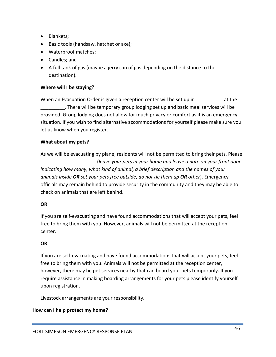- Blankets;
- Basic tools (handsaw, hatchet or axe);
- Waterproof matches;
- Candles; and
- A full tank of gas (maybe a jerry can of gas depending on the distance to the destination).

## **Where will I be staying?**

When an Evacuation Order is given a reception center will be set up in The at the \_\_\_\_\_\_\_\_\_*.* There will be temporary group lodging set up and basic meal services will be provided. Group lodging does not allow for much privacy or comfort as it is an emergency situation. If you wish to find alternative accommodations for yourself please make sure you let us know when you register.

## **What about my pets?**

As we will be evacuating by plane, residents will not be permitted to bring their pets. Please \_\_\_\_\_\_\_\_\_\_\_\_\_\_\_\_\_\_\_\_\_(*leave your pets in your home and leave a note on your front door indicating how many, what kind of animal, a brief description and the names of your animals inside OR set your pets free outside, do not tie them up OR other*). Emergency officials may remain behind to provide security in the community and they may be able to check on animals that are left behind.

## **OR**

If you are self-evacuating and have found accommodations that will accept your pets, feel free to bring them with you. However, animals will not be permitted at the reception center.

## **OR**

If you are self-evacuating and have found accommodations that will accept your pets, feel free to bring them with you. Animals will not be permitted at the reception center, however, there may be pet services nearby that can board your pets temporarily. If you require assistance in making boarding arrangements for your pets please identify yourself upon registration.

Livestock arrangements are your responsibility.

## **How can I help protect my home?**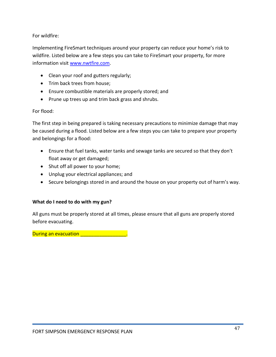For wildfire:

Implementing FireSmart techniques around your property can reduce your home's risk to wildfire. Listed below are a few steps you can take to FireSmart your property, for more information visit [www.nwtfire.com.](http://www.nwtfire.com/)

- Clean your roof and gutters regularly;
- Trim back trees from house;
- Ensure combustible materials are properly stored; and
- Prune up trees up and trim back grass and shrubs.

For flood:

The first step in being prepared is taking necessary precautions to minimize damage that may be caused during a flood. Listed below are a few steps you can take to prepare your property and belongings for a flood:

- Ensure that fuel tanks, water tanks and sewage tanks are secured so that they don't float away or get damaged;
- Shut off all power to your home;
- Unplug your electrical appliances; and
- Secure belongings stored in and around the house on your property out of harm's way.

## **What do I need to do with my gun?**

All guns must be properly stored at all times, please ensure that all guns are properly stored before evacuating.

During an evacuation **During an evacuation**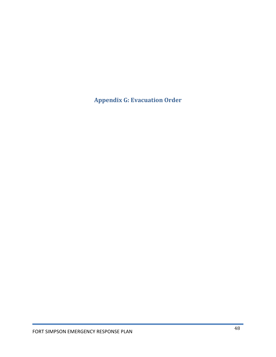**Appendix G: Evacuation Order**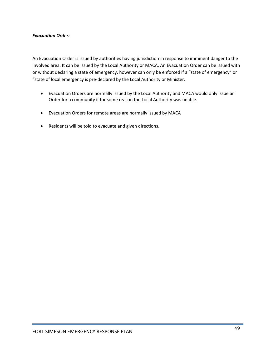### *Evacuation Order:*

An Evacuation Order is issued by authorities having jurisdiction in response to imminent danger to the involved area. It can be issued by the Local Authority or MACA. An Evacuation Order can be issued with or without declaring a state of emergency, however can only be enforced if a "state of emergency" or "state of local emergency is pre-declared by the Local Authority or Minister.

- Evacuation Orders are normally issued by the Local Authority and MACA would only issue an Order for a community if for some reason the Local Authority was unable.
- Evacuation Orders for remote areas are normally issued by MACA
- Residents will be told to evacuate and given directions.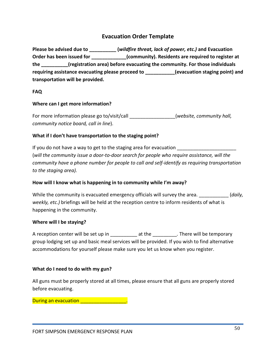## **Evacuation Order Template**

**Please be advised due to \_\_\_\_\_\_\_\_\_\_ (***wildfire threat, lack of power, etc.)* **and Evacuation Order has been issued for \_\_\_\_\_\_\_\_\_\_\_\_\_(community). Residents are required to register at the \_\_\_\_\_\_\_\_\_\_(registration area) before evacuating the community. For those individuals requiring assistance evacuating please proceed to \_\_\_\_\_\_\_\_\_\_\_(evacuation staging point) and transportation will be provided.** 

## **FAQ**

## **Where can I get more information?**

For more information please go to/visit/call *Euchennia (website, community hall, community notice board, call in line*).

## **What if I don't have transportation to the staging point?**

If you do not have a way to get to the staging area for evacuation (*will the community issue a door-to-door search for people who require assistance, will the community have a phone number for people to call and self-identify as requiring transportation to the staging area).* 

## **How will I know what is happening in to community while I'm away?**

While the community is evacuated emergency officials will survey the area. \_\_\_\_\_\_\_\_\_\_\_ (*daily, weekly, etc.)* briefings will be held at the reception centre to inform residents of what is happening in the community.

## **Where will I be staying?**

A reception center will be set up in \_\_\_\_\_\_\_\_\_\_ at the \_\_\_\_\_\_\_\_\_*.* There will be temporary group lodging set up and basic meal services will be provided. If you wish to find alternative accommodations for yourself please make sure you let us know when you register.

## **What do I need to do with my gun?**

All guns must be properly stored at all times, please ensure that all guns are properly stored before evacuating.

## During an evacuation **During an evacuation**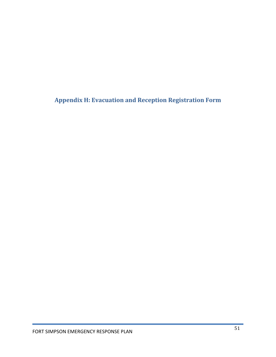**Appendix H: Evacuation and Reception Registration Form**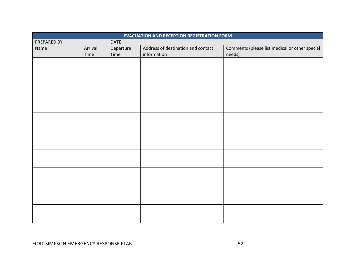| <b>EVACUATION AND RECEPTION REGISTRATION FORM</b> |                 |                   |                                                   |                                                          |
|---------------------------------------------------|-----------------|-------------------|---------------------------------------------------|----------------------------------------------------------|
| <b>DATE</b><br>PREPARED BY                        |                 |                   |                                                   |                                                          |
| Name                                              | Arrival<br>Time | Departure<br>Time | Address of destination and contact<br>information | Comments (please list medical or other special<br>needs) |
|                                                   |                 |                   |                                                   |                                                          |
|                                                   |                 |                   |                                                   |                                                          |
|                                                   |                 |                   |                                                   |                                                          |
|                                                   |                 |                   |                                                   |                                                          |
|                                                   |                 |                   |                                                   |                                                          |
|                                                   |                 |                   |                                                   |                                                          |
|                                                   |                 |                   |                                                   |                                                          |
|                                                   |                 |                   |                                                   |                                                          |
|                                                   |                 |                   |                                                   |                                                          |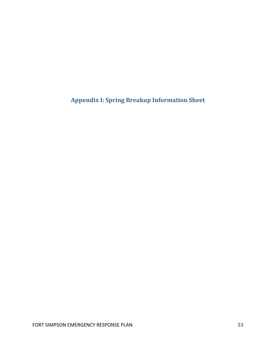**Appendix I: Spring Breakup Information Sheet**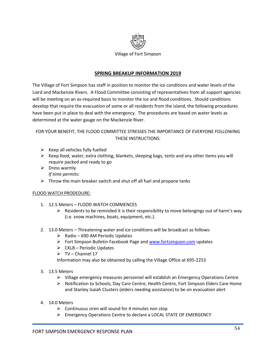

## **SPRING BREAKUP INFORMATION 2019**

The Village of Fort Simpson has staff in position to monitor the ice conditions and water levels of the Liard and Mackenzie Rivers. A Flood Committee consisting of representatives from all support agencies will be meeting on an as-required basis to monitor the ice and flood conditions. Should conditions develop that require the evacuation of some or all residents from the island, the following procedures have been put in place to deal with the emergency. The procedures are based on water levels as determined at the water gauge on the Mackenzie River.

## FOR YOUR BENEFIT, THE FLOOD COMMITTEE STRESSES THE IMPORTANCE OF EVERYONE FOLLOWING THESE INSTRUCTIONS:

- $\triangleright$  Keep all vehicles fully fuelled
- $\triangleright$  Keep food, water, extra clothing, blankets, sleeping bags, tents and any other items you will require packed and ready to go
- $\triangleright$  Dress warmly *If time permits:*
- $\triangleright$  Throw the main breaker switch and shut off all fuel and propane tanks

## FLOOD WATCH PRODEDURE:

- 1. 12.5 Meters FLOOD WATCH COMMENCES
	- $\triangleright$  Residents to be reminded it is their responsibility to move belongings out of harm's way (i.e. snow machines, boats, equipment, etc.).
- 2. 13.0 Meters Threatening water and ice conditions will be broadcast as follows:
	- $\triangleright$  Radio 690 AM Periodic Updates
	- Fort Simpson Bulletin Facebook Page and [www.fortsimpson.com](http://www.fortsimpson.com/) updates
	- $\triangleright$  CKLB Periodic Updates
	- $\triangleright$  TV Channel 17

Information may also be obtained by calling the Village Office at 695-2253

- 3. 13.5 Meters
	- Village emergency measures personnel will establish an Emergency Operations Centre
	- > Notification to Schools, Day Care Centre, Health Centre, Fort Simpson Elders Care Home and Stanley Isaiah Clusters (elders needing assistance) to be on evacuation alert
- 4. 14.0 Meters
	- $\triangleright$  Continuous siren will sound for 4 minutes non stop
	- Emergency Operations Centre to declare a LOCAL STATE OF EMERGENCY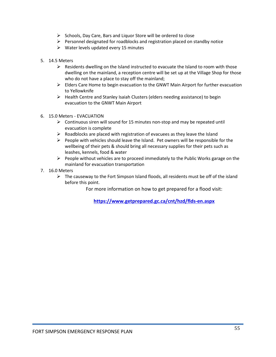- $\triangleright$  Schools, Day Care, Bars and Liquor Store will be ordered to close
- $\triangleright$  Personnel designated for roadblocks and registration placed on standby notice
- $\triangleright$  Water levels updated every 15 minutes
- 5. 14.5 Meters
	- $\triangleright$  Residents dwelling on the Island instructed to evacuate the Island to room with those dwelling on the mainland, a reception centre will be set up at the Village Shop for those who do not have a place to stay off the mainland;
	- $\triangleright$  Elders Care Home to begin evacuation to the GNWT Main Airport for further evacuation to Yellowknife
	- $\triangleright$  Health Centre and Stanley Isaiah Clusters (elders needing assistance) to begin evacuation to the GNWT Main Airport
- 6. 15.0 Meters EVACUATION
	- $\triangleright$  Continuous siren will sound for 15 minutes non-stop and may be repeated until evacuation is complete
	- $\triangleright$  Roadblocks are placed with registration of evacuees as they leave the Island
	- $\triangleright$  People with vehicles should leave the Island. Pet owners will be responsible for the wellbeing of their pets & should bring all necessary supplies for their pets such as leashes, kennels, food & water
	- $\triangleright$  People without vehicles are to proceed immediately to the Public Works garage on the mainland for evacuation transportation
- 7. 16.0 Meters
	- $\triangleright$  The causeway to the Fort Simpson Island floods, all residents must be off of the island before this point.

For more information on how to get prepared for a flood visit:

**<https://www.getprepared.gc.ca/cnt/hzd/flds-en.aspx>**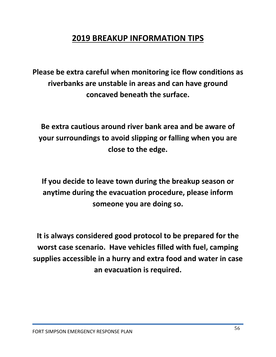# **2019 BREAKUP INFORMATION TIPS**

**Please be extra careful when monitoring ice flow conditions as riverbanks are unstable in areas and can have ground concaved beneath the surface.**

**Be extra cautious around river bank area and be aware of your surroundings to avoid slipping or falling when you are close to the edge.**

**If you decide to leave town during the breakup season or anytime during the evacuation procedure, please inform someone you are doing so.**

**It is always considered good protocol to be prepared for the worst case scenario. Have vehicles filled with fuel, camping supplies accessible in a hurry and extra food and water in case an evacuation is required.**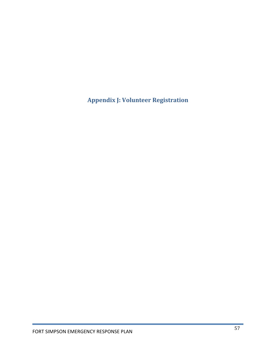**Appendix J: Volunteer Registration**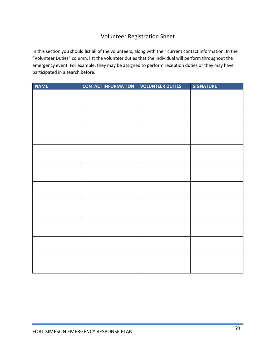## Volunteer Registration Sheet

In this section you should list all of the volunteers, along with their current contact information. In the "Volunteer Duties" column, list the volunteer duties that the individual will perform throughout the emergency event. For example, they may be assigned to perform reception duties or they may have participated in a search before.

| <b>NAME</b> | <b>CONTACT INFORMATION</b> | <b>VOLUNTEER DUTIES</b> | <b>SIGNATURE</b> |
|-------------|----------------------------|-------------------------|------------------|
|             |                            |                         |                  |
|             |                            |                         |                  |
|             |                            |                         |                  |
|             |                            |                         |                  |
|             |                            |                         |                  |
|             |                            |                         |                  |
|             |                            |                         |                  |
|             |                            |                         |                  |
|             |                            |                         |                  |
|             |                            |                         |                  |
|             |                            |                         |                  |
|             |                            |                         |                  |
|             |                            |                         |                  |
|             |                            |                         |                  |
|             |                            |                         |                  |
|             |                            |                         |                  |
|             |                            |                         |                  |
|             |                            |                         |                  |
|             |                            |                         |                  |
|             |                            |                         |                  |
|             |                            |                         |                  |
|             |                            |                         |                  |
|             |                            |                         |                  |
|             |                            |                         |                  |
|             |                            |                         |                  |
|             |                            |                         |                  |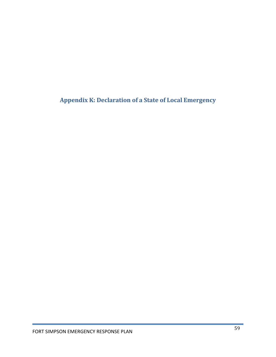**Appendix K: Declaration of a State of Local Emergency**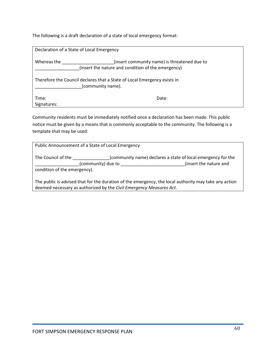The following is a draft declaration of a state of local emergency format:

| Declaration of a State of Local Emergency                                                     |                                              |  |  |
|-----------------------------------------------------------------------------------------------|----------------------------------------------|--|--|
| Whereas the<br>(insert the nature and condition of the emergency)                             | (insert community name) is threatened due to |  |  |
| Therefore the Council declares that a State of Local Emergency exists in<br>(community name). |                                              |  |  |
| Time:                                                                                         | Date:                                        |  |  |
| Signatures:                                                                                   |                                              |  |  |

Community residents must be immediately notified once a declaration has been made. This public notice must be given by a means that is commonly acceptable to the community. The following is a template that may be used:

|                              | Public Announcement of a State of Local Emergency                   |                                                                                                       |
|------------------------------|---------------------------------------------------------------------|-------------------------------------------------------------------------------------------------------|
| The Council of the           |                                                                     | (community name) declares a state of local emergency for the                                          |
|                              | (community) due to                                                  | (insert the nature and                                                                                |
| condition of the emergency). |                                                                     |                                                                                                       |
|                              |                                                                     |                                                                                                       |
|                              |                                                                     | The public is advised that for the duration of the emergency, the local authority may take any action |
|                              | deemed necessary as authorized by the Civil Emergency Measures Act. |                                                                                                       |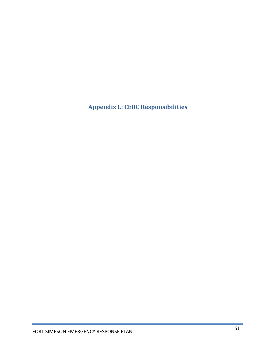**Appendix L: CERC Responsibilities**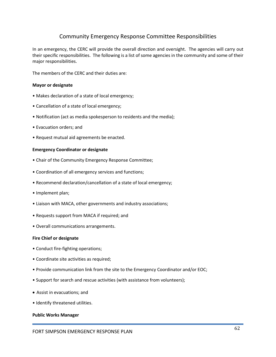## Community Emergency Response Committee Responsibilities

In an emergency, the CERC will provide the overall direction and oversight. The agencies will carry out their specific responsibilities. The following is a list of some agencies in the community and some of their major responsibilities.

The members of the CERC and their duties are:

#### **Mayor or designate**

- Makes declaration of a state of local emergency;
- Cancellation of a state of local emergency;
- Notification (act as media spokesperson to residents and the media);
- Evacuation orders; and
- Request mutual aid agreements be enacted.

#### **Emergency Coordinator or designate**

- Chair of the Community Emergency Response Committee;
- Coordination of all emergency services and functions;
- Recommend declaration/cancellation of a state of local emergency;
- Implement plan;
- Liaison with MACA, other governments and industry associations;
- Requests support from MACA if required; and
- Overall communications arrangements.

#### **Fire Chief or designate**

- Conduct fire-fighting operations;
- Coordinate site activities as required;
- Provide communication link from the site to the Emergency Coordinator and/or EOC;
- Support for search and rescue activities (with assistance from volunteers);
- Assist in evacuations; and
- Identify threatened utilities.

#### **Public Works Manager**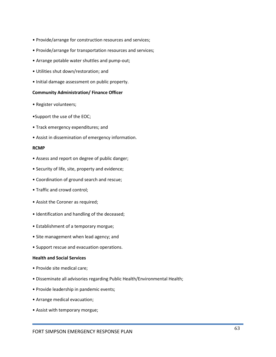- Provide/arrange for construction resources and services;
- Provide/arrange for transportation resources and services;
- Arrange potable water shuttles and pump-out;
- Utilities shut down/restoration; and
- Initial damage assessment on public property.

#### **Community Administration/ Finance Officer**

- Register volunteers;
- •Support the use of the EOC;
- Track emergency expenditures; and
- Assist in dissemination of emergency information.

#### **RCMP**

- Assess and report on degree of public danger;
- Security of life, site, property and evidence;
- Coordination of ground search and rescue;
- Traffic and crowd control;
- Assist the Coroner as required;
- Identification and handling of the deceased;
- Establishment of a temporary morgue;
- Site management when lead agency; and
- Support rescue and evacuation operations.

## **Health and Social Services**

- Provide site medical care;
- Disseminate all advisories regarding Public Health/Environmental Health;
- Provide leadership in pandemic events;
- Arrange medical evacuation;
- Assist with temporary morgue;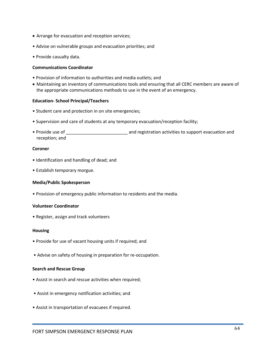- Arrange for evacuation and reception services;
- Advise on vulnerable groups and evacuation priorities; and
- Provide casualty data.

#### **Communications Coordinator**

- Provision of information to authorities and media outlets; and
- Maintaining an inventory of communications tools and ensuring that all CERC members are aware of the appropriate communications methods to use in the event of an emergency.

#### **Education- School Principal/Teachers**

- Student care and protection in on site emergencies;
- Supervision and care of students at any temporary evacuation/reception facility;
- Provide use of \_\_\_\_\_\_\_\_\_\_\_\_\_\_\_\_\_\_\_\_\_\_\_\_\_ and registration activities to support evacuation and reception; and

#### **Coroner**

- Identification and handling of dead; and
- Establish temporary morgue.

#### **Media/Public Spokesperson**

• Provision of emergency public information to residents and the media.

#### **Volunteer Coordinator**

• Register, assign and track volunteers

#### **Housing**

- Provide for use of vacant housing units if required; and
- Advise on safety of housing in preparation for re-occupation.

#### **Search and Rescue Group**

- Assist in search and rescue activities when required;
- Assist in emergency notification activities; and
- Assist in transportation of evacuees if required.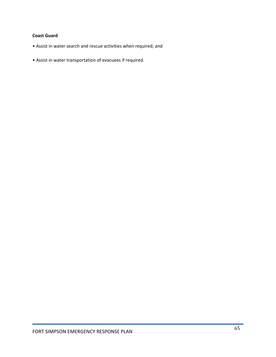## **Coast Guard**

- Assist in water search and rescue activities when required; and
- Assist in water transportation of evacuees if required.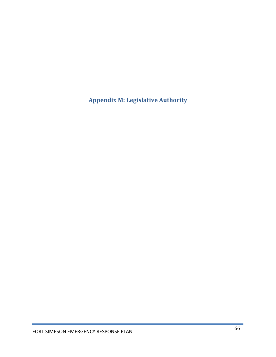**Appendix M: Legislative Authority**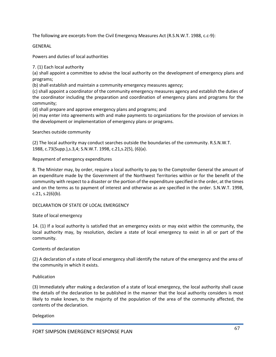The following are excerpts from the Civil Emergency Measures Act (R.S.N.W.T. 1988, c.c-9):

GENERAL

Powers and duties of local authorities

7. (1) Each local authority

(a) shall appoint a committee to advise the local authority on the development of emergency plans and programs;

(b) shall establish and maintain a community emergency measures agency;

(c) shall appoint a coordinator of the community emergency measures agency and establish the duties of the coordinator including the preparation and coordination of emergency plans and programs for the community;

(d) shall prepare and approve emergency plans and programs; and

(e) may enter into agreements with and make payments to organizations for the provision of services in the development or implementation of emergency plans or programs.

Searches outside community

(2) The local authority may conduct searches outside the boundaries of the community. R.S.N.W.T. 1988, c.73(Supp.),s.3,4; S.N.W.T. 1998, c.21,s.2(5), (6)(a).

Repayment of emergency expenditures

8. The Minister may, by order, require a local authority to pay to the Comptroller General the amount of an expenditure made by the Government of the Northwest Territories within or for the benefit of the community with respect to a disaster or the portion of the expenditure specified in the order, at the times and on the terms as to payment of interest and otherwise as are specified in the order. S.N.W.T. 1998,  $c.21, s.2(6)(b)$ .

#### DECLARATION OF STATE OF LOCAL EMERGENCY

State of local emergency

14. (1) If a local authority is satisfied that an emergency exists or may exist within the community, the local authority may, by resolution, declare a state of local emergency to exist in all or part of the community.

#### Contents of declaration

(2) A declaration of a state of local emergency shall identify the nature of the emergency and the area of the community in which it exists.

#### Publication

(3) Immediately after making a declaration of a state of local emergency, the local authority shall cause the details of the declaration to be published in the manner that the local authority considers is most likely to make known, to the majority of the population of the area of the community affected, the contents of the declaration.

#### Delegation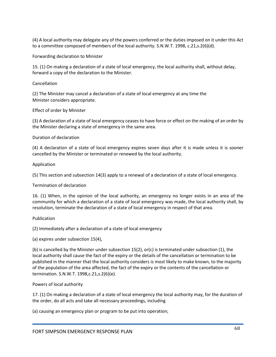(4) A local authority may delegate any of the powers conferred or the duties imposed on it under this Act to a committee composed of members of the local authority. S.N.W.T. 1998, c.21,s.2(6)(d).

Forwarding declaration to Minister

15. (1) On making a declaration of a state of local emergency, the local authority shall, without delay, forward a copy of the declaration to the Minister.

#### Cancellation

(2) The Minister may cancel a declaration of a state of local emergency at any time the Minister considers appropriate.

### Effect of order by Minister

(3) A declaration of a state of local emergency ceases to have force or effect on the making of an order by the Minister declaring a state of emergency in the same area.

#### Duration of declaration

(4) A declaration of a state of local emergency expires seven days after it is made unless it is sooner cancelled by the Minister or terminated or renewed by the local authority.

#### Application

(5) This section and subsection 14(3) apply to a renewal of a declaration of a state of local emergency.

#### Termination of declaration

16. (1) When, in the opinion of the local authority, an emergency no longer exists in an area of the community for which a declaration of a state of local emergency was made, the local authority shall, by resolution, terminate the declaration of a state of local emergency in respect of that area.

#### Publication

(2) Immediately after a declaration of a state of local emergency

(a) expires under subsection 15(4),

(b) is cancelled by the Minister under subsection 15(2), or(c) is terminated under subsection (1), the local authority shall cause the fact of the expiry or the details of the cancellation or termination to be published in the manner that the local authority considers is most likely to make known, to the majority of the population of the area affected, the fact of the expiry or the contents of the cancellation or termination. S.N.W.T. 1998,c.21,s.2(6)(e).

#### Powers of local authority

17. (1) On making a declaration of a state of local emergency the local authority may, for the duration of the order, do all acts and take all necessary proceedings, including

(a) causing an emergency plan or program to be put into operation;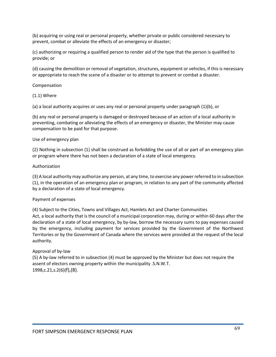(b) acquiring or using real or personal property, whether private or public considered necessary to prevent, combat or alleviate the effects of an emergency or disaster;

(c) authorizing or requiring a qualified person to render aid of the type that the person is qualified to provide; or

(d) causing the demolition or removal of vegetation, structures, equipment or vehicles, if this is necessary or appropriate to reach the scene of a disaster or to attempt to prevent or combat a disaster.

#### Compensation

(1.1) Where

(a) a local authority acquires or uses any real or personal property under paragraph (1)(b), or

(b) any real or personal property is damaged or destroyed because of an action of a local authority in preventing, combating or alleviating the effects of an emergency or disaster, the Minister may cause compensation to be paid for that purpose.

#### Use of emergency plan

(2) Nothing in subsection (1) shall be construed as forbidding the use of all or part of an emergency plan or program where there has not been a declaration of a state of local emergency.

#### Authorization

(3) A local authority may authorize any person, at any time, to exercise any power referred to in subsection (1), in the operation of an emergency plan or program, in relation to any part of the community affected by a declaration of a state of local emergency.

#### Payment of expenses

(4) Subject to the Cities, Towns and Villages Act, Hamlets Act and Charter Communities Act, a local authority that is the council of a municipal corporation may, during or within 60 days after the declaration of a state of local emergency, by by-law, borrow the necessary sums to pay expenses caused by the emergency, including payment for services provided by the Government of the Northwest Territories or by the Government of Canada where the services were provided at the request of the local authority.

#### Approval of by-law

(5) A by-law referred to in subsection (4) must be approved by the Minister but does not require the assent of electors owning property within the municipality .S.N.W.T. 1998,c.21,s.2(6)(f),(8).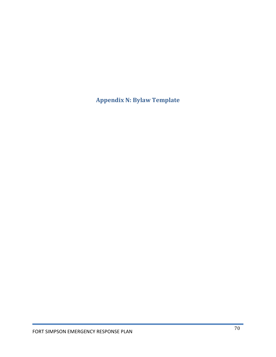**Appendix N: Bylaw Template**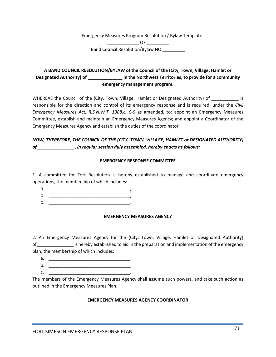Emergency Measures Program Resolution / Bylaw Template \_\_\_\_\_\_\_\_\_\_\_\_\_ OF \_\_\_\_\_\_\_\_\_ Band Council Resolution/Bylaw NO.

## **A BAND COUNCIL RESOLUTION/BYLAW of the Council of the (City, Town, Village, Hamlet or Designated Authority) of \_\_\_\_\_\_\_\_\_\_\_\_\_\_ in the Northwest Territories, to provide for a community emergency management program.**

WHEREAS the Council of the (City, Town, Village, Hamlet or Designated Authority) of \_\_\_\_\_\_\_\_\_\_\_ is responsible for the direction and control of its emergency response and is required, under the *Civil Emergency Measures Act, R.S.N.W.T. 1988,c. C-9* as amended, to: appoint an Emergency Measures Committee, establish and maintain an Emergency Measures Agency; and appoint a Coordinator of the Emergency Measures Agency and establish the duties of the coordinator.

## *NOW, THEREFORE, THE COUNCIL OF THE (CITY, TOWN, VILLAGE, HAMLET or DESIGNATED AUTHORITY) of \_\_\_\_\_\_\_\_\_\_\_\_\_\_\_, in regular session duly assembled, hereby enacts as follows:*

### **EMERGENCY RESPONSE COMMITTEE**

1. A committee for Fort Resolution is hereby established to manage and coordinate emergency operations, the membership of which includes:

| ◠<br>d |  |
|--------|--|
| ຼ      |  |

c. \_\_\_\_\_\_\_\_\_\_\_\_\_\_\_\_\_\_\_\_\_\_\_\_\_\_\_\_\_\_\_\_\_.

#### **EMERGENCY MEASURES AGENCY**

2. An Emergency Measures Agency for the (City, Town, Village, Hamlet or Designated Authority) of\_\_\_\_\_\_\_\_\_\_\_\_\_\_\_ is hereby established to aid in the preparation and implementation of the emergency plan, the membership of which includes:

- a. <u>\_\_\_\_\_\_\_\_\_\_\_\_\_\_\_\_</u>\_\_\_
- b. \_\_\_\_\_\_\_\_\_\_\_\_\_\_\_\_\_\_\_\_\_\_\_\_\_\_\_\_\_\_\_\_\_;  $c.$   $-$
- The members of the Emergency Measures Agency shall assume such powers, and take such action as outlined in the Emergency Measures Plan.

## **EMERGENCY MEASURES AGENCY COORDINATOR**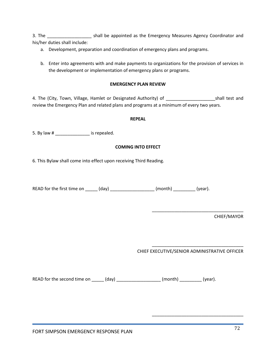3. The \_\_\_\_\_\_\_\_\_\_\_\_\_\_\_\_\_\_ shall be appointed as the Emergency Measures Agency Coordinator and his/her duties shall include:

- a. Development, preparation and coordination of emergency plans and programs.
- b. Enter into agreements with and make payments to organizations for the provision of services in the development or implementation of emergency plans or programs.

### **EMERGENCY PLAN REVIEW**

4. The (City, Town, Village, Hamlet or Designated Authority) of **William Contact Shall test and** review the Emergency Plan and related plans and programs at a minimum of every two years.

#### **REPEAL**

5. By law # \_\_\_\_\_\_\_\_\_\_\_\_\_\_\_\_\_ is repealed.

#### **COMING INTO EFFECT**

6. This Bylaw shall come into effect upon receiving Third Reading.

READ for the first time on  $(day)$  (day)  $(month)$  (month) (year).

CHIEF/MAYOR

CHIEF EXECUTIVE/SENIOR ADMINISTRATIVE OFFICER

\_\_\_\_\_\_\_\_\_\_\_\_\_\_\_\_\_\_\_\_\_\_\_\_\_\_\_\_\_\_\_\_\_\_\_\_\_

\_\_\_\_\_\_\_\_\_\_\_\_\_\_\_\_\_\_\_\_\_\_\_\_\_\_\_\_\_\_\_\_\_\_\_\_\_

\_\_\_\_\_\_\_\_\_\_\_\_\_\_\_\_\_\_\_\_\_\_\_\_\_\_\_\_\_\_\_\_\_\_\_\_\_

READ for the second time on \_\_\_\_\_\_ (day) \_\_\_\_\_\_\_\_\_\_\_\_\_\_\_\_\_\_\_ (month) \_\_\_\_\_\_\_\_\_\_ (year).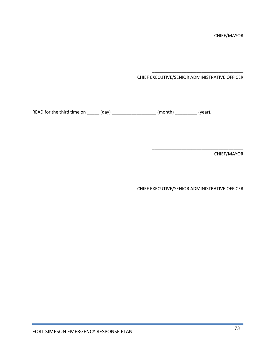CHIEF EXECUTIVE/SENIOR ADMINISTRATIVE OFFICER

\_\_\_\_\_\_\_\_\_\_\_\_\_\_\_\_\_\_\_\_\_\_\_\_\_\_\_\_\_\_\_\_\_\_\_\_\_

\_\_\_\_\_\_\_\_\_\_\_\_\_\_\_\_\_\_\_\_\_\_\_\_\_\_\_\_\_\_\_\_\_\_\_\_\_

\_\_\_\_\_\_\_\_\_\_\_\_\_\_\_\_\_\_\_\_\_\_\_\_\_\_\_\_\_\_\_\_\_\_\_\_\_

READ for the third time on \_\_\_\_\_\_ (day) \_\_\_\_\_\_\_\_\_\_\_\_\_\_\_\_\_\_\_\_ (month) \_\_\_\_\_\_\_\_\_\_\_ (year).

CHIEF/MAYOR

CHIEF EXECUTIVE/SENIOR ADMINISTRATIVE OFFICER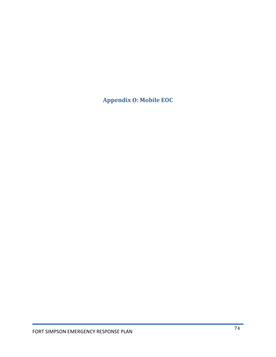**Appendix O: Mobile EOC**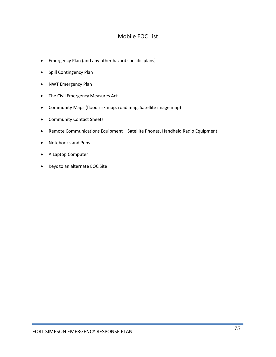### Mobile EOC List

- Emergency Plan (and any other hazard specific plans)
- Spill Contingency Plan
- NWT Emergency Plan
- The Civil Emergency Measures Act
- Community Maps (flood risk map, road map, Satellite image map)
- Community Contact Sheets
- Remote Communications Equipment Satellite Phones, Handheld Radio Equipment
- Notebooks and Pens
- A Laptop Computer
- Keys to an alternate EOC Site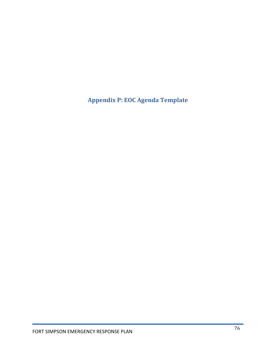**Appendix P: EOC Agenda Template**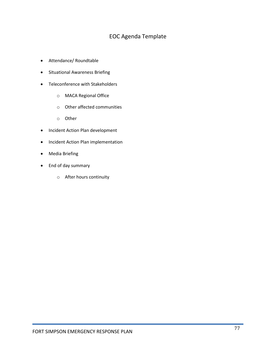## EOC Agenda Template

- Attendance/ Roundtable
- Situational Awareness Briefing
- Teleconference with Stakeholders
	- o MACA Regional Office
	- o Other affected communities
	- o Other
- Incident Action Plan development
- Incident Action Plan implementation
- Media Briefing
- End of day summary
	- o After hours continuity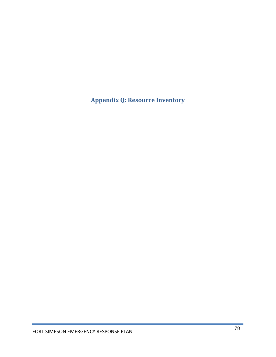**Appendix Q: Resource Inventory**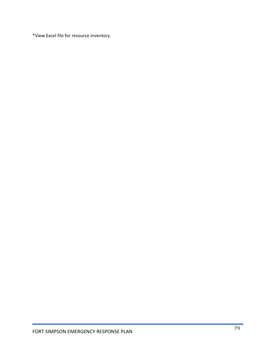\*View Excel file for resource inventory.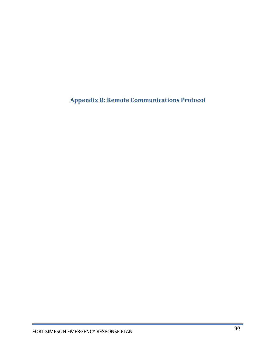**Appendix R: Remote Communications Protocol**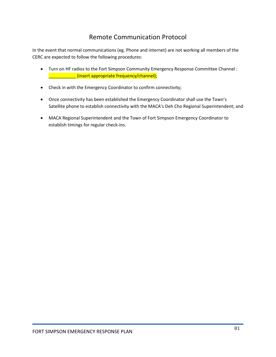# Remote Communication Protocol

In the event that normal communications (eg. Phone and internet) are not working all members of the CERC are expected to follow the following procedures:

- Turn on HF radios to the Fort Simpson Community Emergency Response Committee Channel : \_\_\_\_\_\_\_\_\_\_\_ (insert appropriate frequency/channel);
- Check in with the Emergency Coordinator to confirm connectivity;
- Once connectivity has been established the Emergency Coordinator shall use the Town's Satellite phone to establish connectivity with the MACA's Deh Cho Regional Superintendent; and
- MACA Regional Superintendent and the Town of Fort Simpson Emergency Coordinator to establish timings for regular check-ins.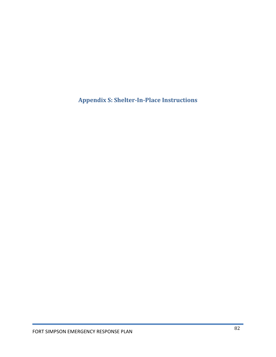**Appendix S: Shelter-In-Place Instructions**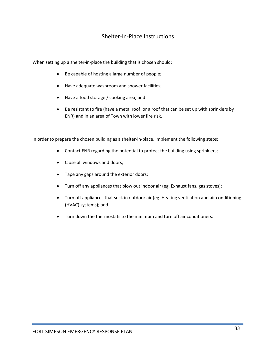### Shelter-In-Place Instructions

When setting up a shelter-in-place the building that is chosen should:

- Be capable of hosting a large number of people;
- Have adequate washroom and shower facilities;
- Have a food storage / cooking area; and
- Be resistant to fire (have a metal roof, or a roof that can be set up with sprinklers by ENR) and in an area of Town with lower fire risk.

In order to prepare the chosen building as a shelter-in-place, implement the following steps:

- Contact ENR regarding the potential to protect the building using sprinklers;
- Close all windows and doors;
- Tape any gaps around the exterior doors;
- Turn off any appliances that blow out indoor air (eg. Exhaust fans, gas stoves);
- Turn off appliances that suck in outdoor air (eg. Heating ventilation and air conditioning (HVAC) systems); and
- Turn down the thermostats to the minimum and turn off air conditioners.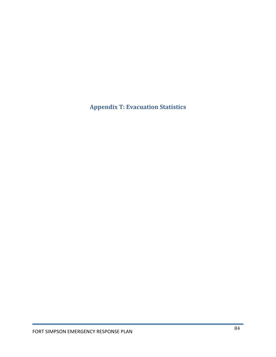**Appendix T: Evacuation Statistics**